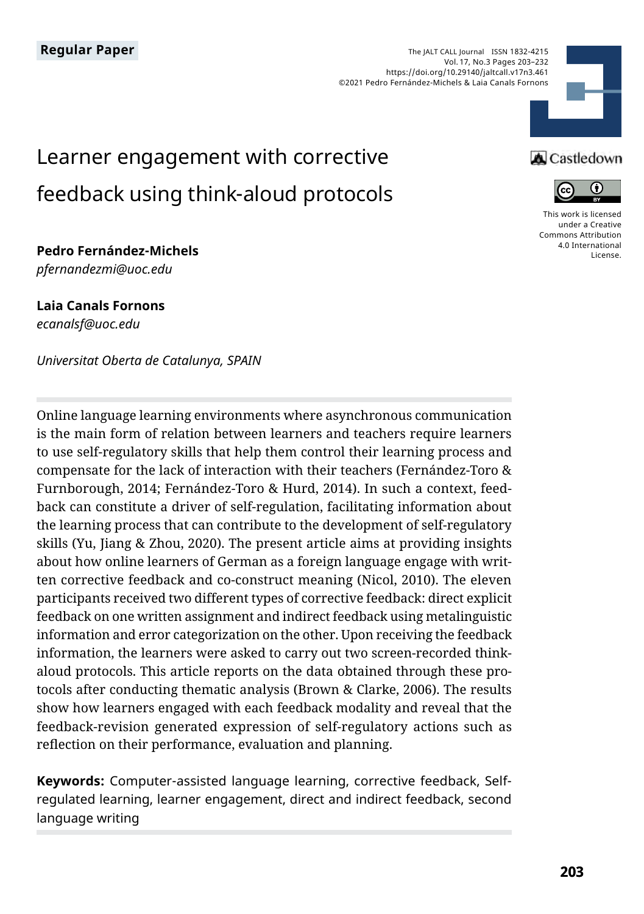

# Learner engagement with corrective feedback using think-aloud protocols

**Pedro Fernández-Michels** *pfernandezmi@uoc.edu* 

**Laia Canals Fornons** *ecanalsf@uoc.edu*

*Universitat Oberta de Catalunya, SPAIN*

Online language learning environments where asynchronous communication is the main form of relation between learners and teachers require learners to use self-regulatory skills that help them control their learning process and compensate for the lack of interaction with their teachers (Fernández-Toro & Furnborough, 2014; Fernández-Toro & Hurd, 2014). In such a context, feedback can constitute a driver of self-regulation, facilitating information about the learning process that can contribute to the development of self-regulatory skills (Yu, Jiang & Zhou, 2020). The present article aims at providing insights about how online learners of German as a foreign language engage with written corrective feedback and co-construct meaning (Nicol, 2010). The eleven participants received two different types of corrective feedback: direct explicit feedback on one written assignment and indirect feedback using metalinguistic information and error categorization on the other. Upon receiving the feedback information, the learners were asked to carry out two screen-recorded thinkaloud protocols. This article reports on the data obtained through these protocols after conducting thematic analysis (Brown & Clarke, 2006). The results show how learners engaged with each feedback modality and reveal that the feedback-revision generated expression of self-regulatory actions such as reflection on their performance, evaluation and planning.

**Keywords:** Computer-assisted language learning, corrective feedback, Selfregulated learning, learner engagement, direct and indirect feedback, second language writing

### **A** Castledown



[This work is licensed](https://creativecommons.org/licenses/by/4.0/)  [under a Creative](https://creativecommons.org/licenses/by/4.0/)  [Commons Attribution](https://creativecommons.org/licenses/by/4.0/)  [4.0 International](https://creativecommons.org/licenses/by/4.0/)  [License](https://creativecommons.org/licenses/by/4.0/).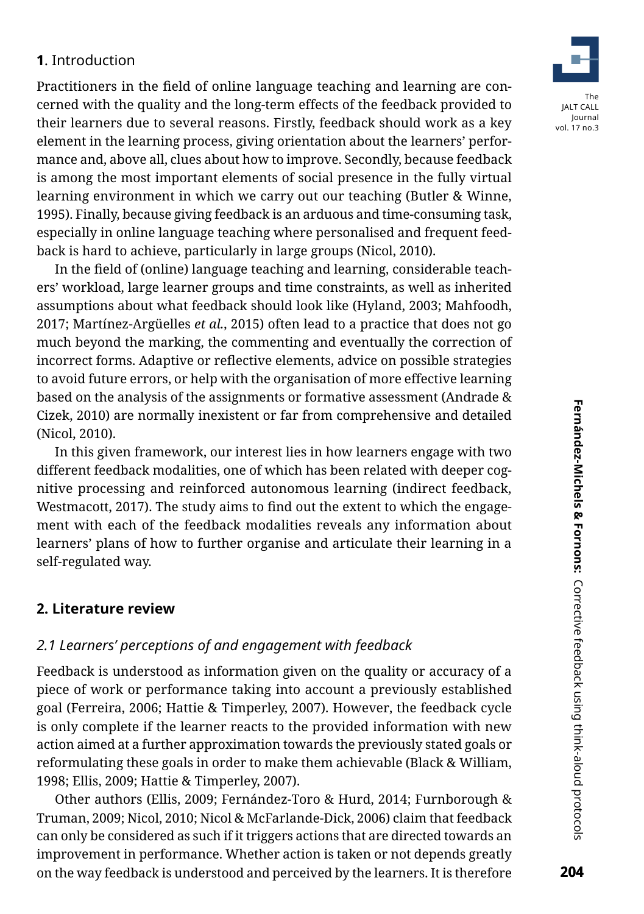### **1**. Introduction

Practitioners in the field of online language teaching and learning are concerned with the quality and the long-term effects of the feedback provided to their learners due to several reasons. Firstly, feedback should work as a key element in the learning process, giving orientation about the learners' performance and, above all, clues about how to improve. Secondly, because feedback is among the most important elements of social presence in the fully virtual learning environment in which we carry out our teaching (Butler & Winne, 1995). Finally, because giving feedback is an arduous and time-consuming task, especially in online language teaching where personalised and frequent feedback is hard to achieve, particularly in large groups (Nicol, 2010).

In the field of (online) language teaching and learning, considerable teachers' workload, large learner groups and time constraints, as well as inherited assumptions about what feedback should look like (Hyland, 2003; Mahfoodh, 2017; Martínez-Argüelles *et al.*, 2015) often lead to a practice that does not go much beyond the marking, the commenting and eventually the correction of incorrect forms. Adaptive or reflective elements, advice on possible strategies to avoid future errors, or help with the organisation of more effective learning based on the analysis of the assignments or formative assessment (Andrade & Cizek, 2010) are normally inexistent or far from comprehensive and detailed (Nicol, 2010).

In this given framework, our interest lies in how learners engage with two different feedback modalities, one of which has been related with deeper cognitive processing and reinforced autonomous learning (indirect feedback, Westmacott, 2017). The study aims to find out the extent to which the engagement with each of the feedback modalities reveals any information about learners' plans of how to further organise and articulate their learning in a self-regulated way.

### **2. Literature review**

### *2.1 Learners' perceptions of and engagement with feedback*

Feedback is understood as information given on the quality or accuracy of a piece of work or performance taking into account a previously established goal (Ferreira, 2006; Hattie & Timperley, 2007). However, the feedback cycle is only complete if the learner reacts to the provided information with new action aimed at a further approximation towards the previously stated goals or reformulating these goals in order to make them achievable (Black & William, 1998; Ellis, 2009; Hattie & Timperley, 2007).

Other authors (Ellis, 2009; Fernández-Toro & Hurd, 2014; Furnborough & Truman, 2009; Nicol, 2010; Nicol & McFarlande-Dick, 2006) claim that feedback can only be considered as such if it triggers actions that are directed towards an improvement in performance. Whether action is taken or not depends greatly on the way feedback is understood and perceived by the learners. It is therefore

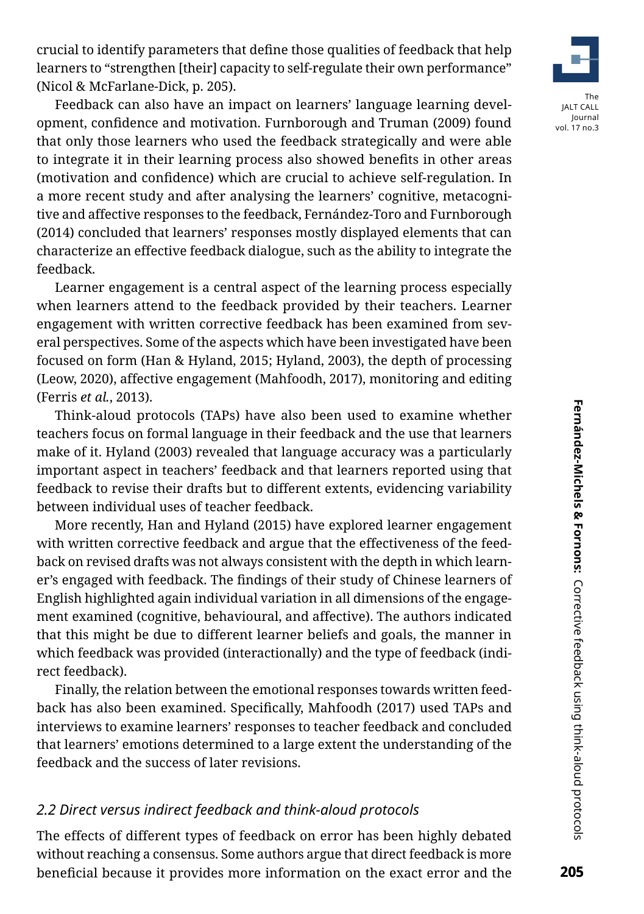crucial to identify parameters that define those qualities of feedback that help learners to "strengthen [their] capacity to self-regulate their own performance" (Nicol & McFarlane-Dick, p. 205).



vol. 17 no.3

Feedback can also have an impact on learners' language learning development, confidence and motivation. Furnborough and Truman (2009) found that only those learners who used the feedback strategically and were able to integrate it in their learning process also showed benefits in other areas (motivation and confidence) which are crucial to achieve self-regulation. In a more recent study and after analysing the learners' cognitive, metacognitive and affective responses to the feedback, Fernández-Toro and Furnborough (2014) concluded that learners' responses mostly displayed elements that can characterize an effective feedback dialogue, such as the ability to integrate the feedback.

Learner engagement is a central aspect of the learning process especially when learners attend to the feedback provided by their teachers. Learner engagement with written corrective feedback has been examined from several perspectives. Some of the aspects which have been investigated have been focused on form (Han & Hyland, 2015; Hyland, 2003), the depth of processing (Leow, 2020), affective engagement (Mahfoodh, 2017), monitoring and editing (Ferris *et al.*, 2013).

Think-aloud protocols (TAPs) have also been used to examine whether teachers focus on formal language in their feedback and the use that learners make of it. Hyland (2003) revealed that language accuracy was a particularly important aspect in teachers' feedback and that learners reported using that feedback to revise their drafts but to different extents, evidencing variability between individual uses of teacher feedback.

More recently, Han and Hyland (2015) have explored learner engagement with written corrective feedback and argue that the effectiveness of the feedback on revised drafts was not always consistent with the depth in which learner's engaged with feedback. The findings of their study of Chinese learners of English highlighted again individual variation in all dimensions of the engagement examined (cognitive, behavioural, and affective). The authors indicated that this might be due to different learner beliefs and goals, the manner in which feedback was provided (interactionally) and the type of feedback (indirect feedback).

Finally, the relation between the emotional responses towards written feedback has also been examined. Specifically, Mahfoodh (2017) used TAPs and interviews to examine learners' responses to teacher feedback and concluded that learners' emotions determined to a large extent the understanding of the feedback and the success of later revisions.

### *2.2 Direct versus indirect feedback and think-aloud protocols*

The effects of different types of feedback on error has been highly debated without reaching a consensus. Some authors argue that direct feedback is more beneficial because it provides more information on the exact error and the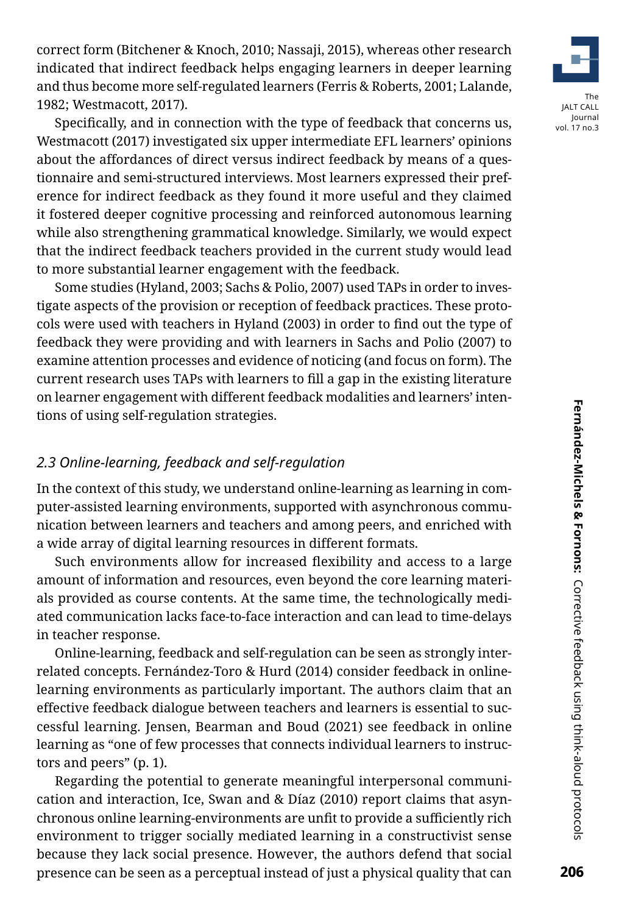correct form (Bitchener & Knoch, 2010; Nassaji, 2015), whereas other research indicated that indirect feedback helps engaging learners in deeper learning and thus become more self-regulated learners (Ferris & Roberts, 2001; Lalande, 1982; Westmacott, 2017).

Specifically, and in connection with the type of feedback that concerns us, Westmacott (2017) investigated six upper intermediate EFL learners' opinions about the affordances of direct versus indirect feedback by means of a questionnaire and semi-structured interviews. Most learners expressed their preference for indirect feedback as they found it more useful and they claimed it fostered deeper cognitive processing and reinforced autonomous learning while also strengthening grammatical knowledge. Similarly, we would expect that the indirect feedback teachers provided in the current study would lead to more substantial learner engagement with the feedback.

Some studies (Hyland, 2003; Sachs & Polio, 2007) used TAPs in order to investigate aspects of the provision or reception of feedback practices. These protocols were used with teachers in Hyland (2003) in order to find out the type of feedback they were providing and with learners in Sachs and Polio (2007) to examine attention processes and evidence of noticing (and focus on form). The current research uses TAPs with learners to fill a gap in the existing literature on learner engagement with different feedback modalities and learners' intentions of using self-regulation strategies.

### *2.3 Online-learning, feedback and self-regulation*

In the context of this study, we understand online-learning as learning in computer-assisted learning environments, supported with asynchronous communication between learners and teachers and among peers, and enriched with a wide array of digital learning resources in different formats.

Such environments allow for increased flexibility and access to a large amount of information and resources, even beyond the core learning materials provided as course contents. At the same time, the technologically mediated communication lacks face-to-face interaction and can lead to time-delays in teacher response.

Online-learning, feedback and self-regulation can be seen as strongly interrelated concepts. Fernández-Toro & Hurd (2014) consider feedback in onlinelearning environments as particularly important. The authors claim that an effective feedback dialogue between teachers and learners is essential to successful learning. Jensen, Bearman and Boud (2021) see feedback in online learning as "one of few processes that connects individual learners to instructors and peers" (p. 1).

Regarding the potential to generate meaningful interpersonal communication and interaction, Ice, Swan and & Díaz (2010) report claims that asynchronous online learning-environments are unfit to provide a sufficiently rich environment to trigger socially mediated learning in a constructivist sense because they lack social presence. However, the authors defend that social presence can be seen as a perceptual instead of just a physical quality that can

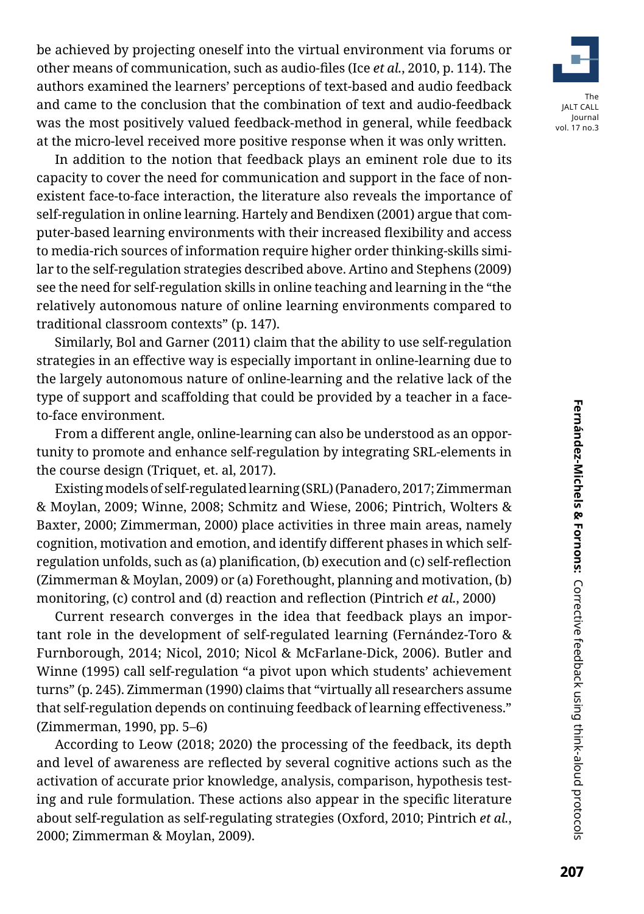be achieved by projecting oneself into the virtual environment via forums or other means of communication, such as audio-files (Ice *et al.*, 2010, p. 114). The authors examined the learners' perceptions of text-based and audio feedback and came to the conclusion that the combination of text and audio-feedback was the most positively valued feedback-method in general, while feedback at the micro-level received more positive response when it was only written.

In addition to the notion that feedback plays an eminent role due to its capacity to cover the need for communication and support in the face of nonexistent face-to-face interaction, the literature also reveals the importance of self-regulation in online learning. Hartely and Bendixen (2001) argue that computer-based learning environments with their increased flexibility and access to media-rich sources of information require higher order thinking-skills similar to the self-regulation strategies described above. Artino and Stephens (2009) see the need for self-regulation skills in online teaching and learning in the "the relatively autonomous nature of online learning environments compared to traditional classroom contexts" (p. 147).

Similarly, Bol and Garner (2011) claim that the ability to use self-regulation strategies in an effective way is especially important in online-learning due to the largely autonomous nature of online-learning and the relative lack of the type of support and scaffolding that could be provided by a teacher in a faceto-face environment.

From a different angle, online-learning can also be understood as an opportunity to promote and enhance self-regulation by integrating SRL-elements in the course design (Triquet, et. al, 2017).

Existing models of self-regulated learning (SRL) (Panadero, 2017; Zimmerman & Moylan, 2009; Winne, 2008; Schmitz and Wiese, 2006; Pintrich, Wolters & Baxter, 2000; Zimmerman, 2000) place activities in three main areas, namely cognition, motivation and emotion, and identify different phases in which selfregulation unfolds, such as (a) planification, (b) execution and (c) self-reflection (Zimmerman & Moylan, 2009) or (a) Forethought, planning and motivation, (b) monitoring, (c) control and (d) reaction and reflection (Pintrich *et al.*, 2000)

Current research converges in the idea that feedback plays an important role in the development of self-regulated learning (Fernández-Toro & Furnborough, 2014; Nicol, 2010; Nicol & McFarlane-Dick, 2006). Butler and Winne (1995) call self-regulation "a pivot upon which students' achievement turns" (p. 245). Zimmerman (1990) claims that "virtually all researchers assume that self-regulation depends on continuing feedback of learning effectiveness." (Zimmerman, 1990, pp. 5–6)

According to Leow (2018; 2020) the processing of the feedback, its depth and level of awareness are reflected by several cognitive actions such as the activation of accurate prior knowledge, analysis, comparison, hypothesis testing and rule formulation. These actions also appear in the specific literature about self-regulation as self-regulating strategies (Oxford, 2010; Pintrich *et al.*, 2000; Zimmerman & Moylan, 2009).

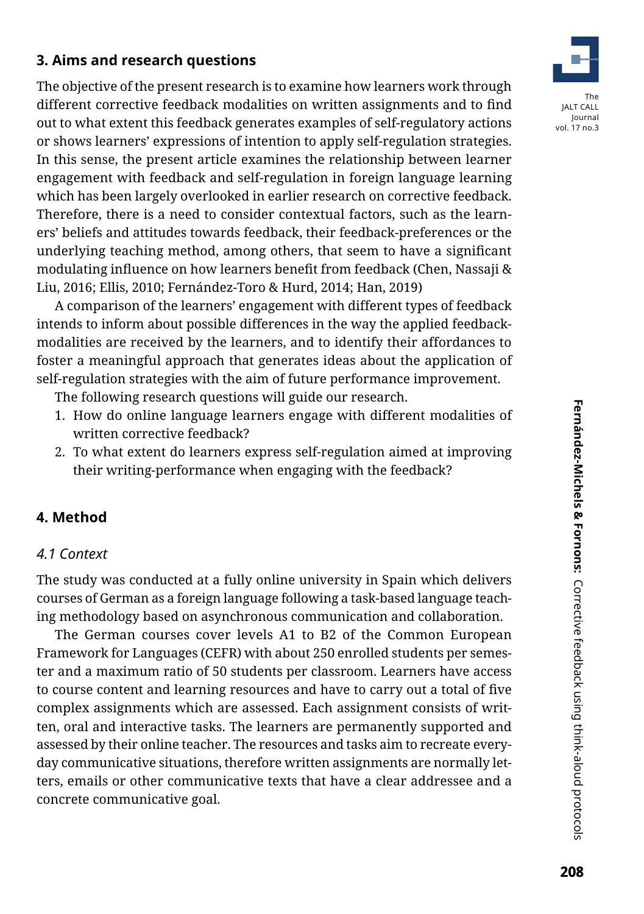# **3. Aims and research questions**

The objective of the present research is to examine how learners work through different corrective feedback modalities on written assignments and to find out to what extent this feedback generates examples of self-regulatory actions or shows learners' expressions of intention to apply self-regulation strategies. In this sense, the present article examines the relationship between learner engagement with feedback and self-regulation in foreign language learning which has been largely overlooked in earlier research on corrective feedback. Therefore, there is a need to consider contextual factors, such as the learners' beliefs and attitudes towards feedback, their feedback-preferences or the underlying teaching method, among others, that seem to have a significant modulating influence on how learners benefit from feedback (Chen, Nassaji & Liu, 2016; Ellis, 2010; Fernández-Toro & Hurd, 2014; Han, 2019)

A comparison of the learners' engagement with different types of feedback intends to inform about possible differences in the way the applied feedbackmodalities are received by the learners, and to identify their affordances to foster a meaningful approach that generates ideas about the application of self-regulation strategies with the aim of future performance improvement.

The following research questions will guide our research.

- 1. How do online language learners engage with different modalities of written corrective feedback?
- 2. To what extent do learners express self-regulation aimed at improving their writing-performance when engaging with the feedback?

### **4. Method**

### *4.1 Context*

The study was conducted at a fully online university in Spain which delivers courses of German as a foreign language following a task-based language teaching methodology based on asynchronous communication and collaboration.

The German courses cover levels A1 to B2 of the Common European Framework for Languages (CEFR) with about 250 enrolled students per semester and a maximum ratio of 50 students per classroom. Learners have access to course content and learning resources and have to carry out a total of five complex assignments which are assessed. Each assignment consists of written, oral and interactive tasks. The learners are permanently supported and assessed by their online teacher. The resources and tasks aim to recreate everyday communicative situations, therefore written assignments are normally letters, emails or other communicative texts that have a clear addressee and a concrete communicative goal.

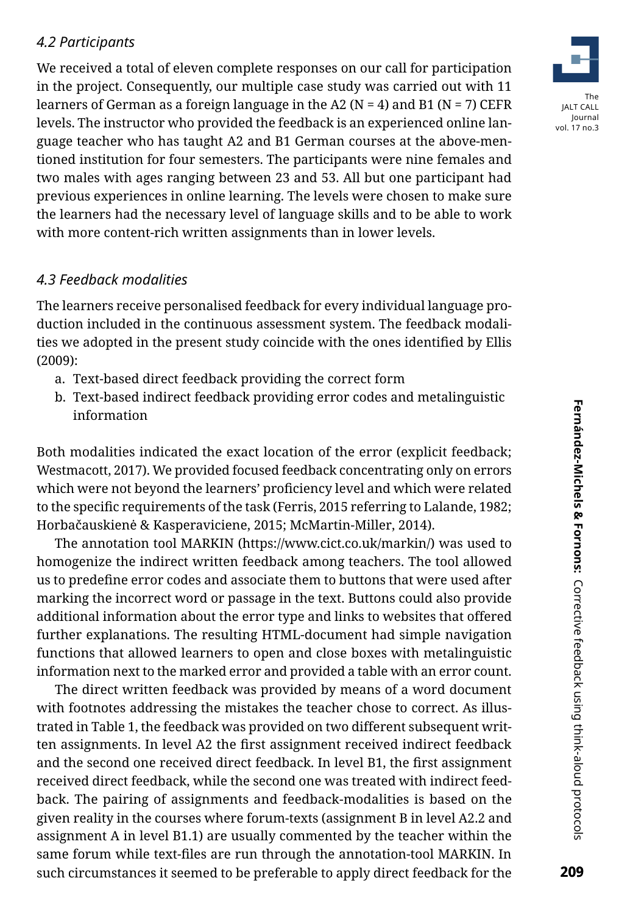## *4.2 Participants*

We received a total of eleven complete responses on our call for participation in the project. Consequently, our multiple case study was carried out with 11 learners of German as a foreign language in the A2 ( $N = 4$ ) and B1 ( $N = 7$ ) CEFR levels. The instructor who provided the feedback is an experienced online language teacher who has taught A2 and B1 German courses at the above-mentioned institution for four semesters. The participants were nine females and two males with ages ranging between 23 and 53. All but one participant had previous experiences in online learning. The levels were chosen to make sure the learners had the necessary level of language skills and to be able to work with more content-rich written assignments than in lower levels.

### *4.3 Feedback modalities*

The learners receive personalised feedback for every individual language production included in the continuous assessment system. The feedback modalities we adopted in the present study coincide with the ones identified by Ellis (2009):

- a. Text-based direct feedback providing the correct form
- b. Text-based indirect feedback providing error codes and metalinguistic information

Both modalities indicated the exact location of the error (explicit feedback; Westmacott, 2017). We provided focused feedback concentrating only on errors which were not beyond the learners' proficiency level and which were related to the specific requirements of the task (Ferris, 2015 referring to Lalande, 1982; Horbačauskienė & Kasperaviciene, 2015; McMartin-Miller, 2014).

The annotation tool MARKIN (https://www.cict.co.uk/markin/) was used to homogenize the indirect written feedback among teachers. The tool allowed us to predefine error codes and associate them to buttons that were used after marking the incorrect word or passage in the text. Buttons could also provide additional information about the error type and links to websites that offered further explanations. The resulting HTML-document had simple navigation functions that allowed learners to open and close boxes with metalinguistic information next to the marked error and provided a table with an error count.

The direct written feedback was provided by means of a word document with footnotes addressing the mistakes the teacher chose to correct. As illustrated in Table 1, the feedback was provided on two different subsequent written assignments. In level A2 the first assignment received indirect feedback and the second one received direct feedback. In level B1, the first assignment received direct feedback, while the second one was treated with indirect feedback. The pairing of assignments and feedback-modalities is based on the given reality in the courses where forum-texts (assignment B in level A2.2 and assignment A in level B1.1) are usually commented by the teacher within the same forum while text-files are run through the annotation-tool MARKIN. In such circumstances it seemed to be preferable to apply direct feedback for the

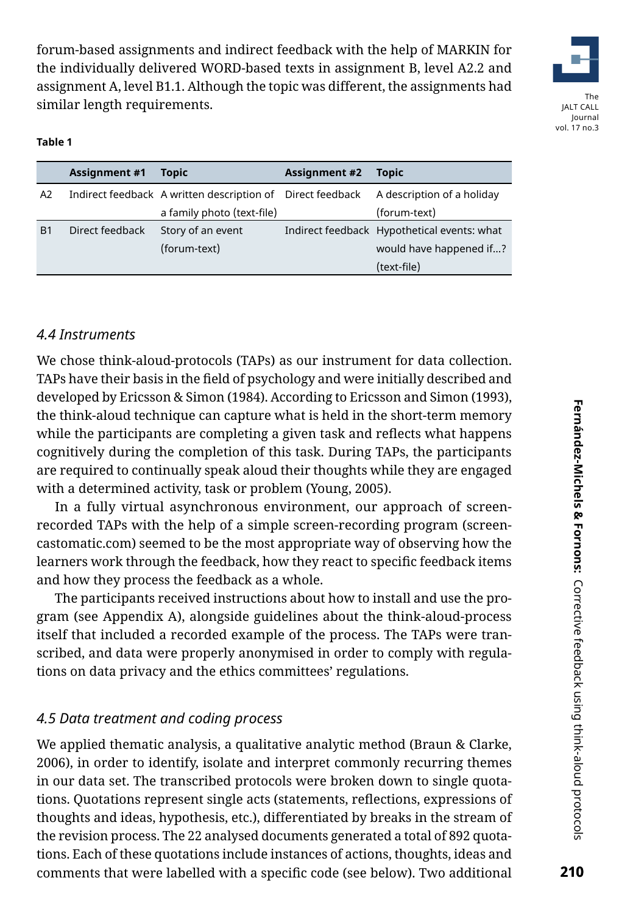forum-based assignments and indirect feedback with the help of MARKIN for the individually delivered WORD-based texts in assignment B, level A2.2 and assignment A, level B1.1. Although the topic was different, the assignments had similar length requirements.



Journal vol. 17 no.3

#### **Table 1**

|                | <b>Assignment #1</b> | <b>Topic</b>                                               | <b>Assignment #2</b> | <b>Topic</b>                                |
|----------------|----------------------|------------------------------------------------------------|----------------------|---------------------------------------------|
| A2             |                      | Indirect feedback A written description of Direct feedback |                      | A description of a holiday                  |
|                |                      | a family photo (text-file)                                 |                      | (forum-text)                                |
| B <sub>1</sub> | Direct feedback      | Story of an event                                          |                      | Indirect feedback Hypothetical events: what |
|                |                      | (forum-text)                                               |                      | would have happened if?                     |
|                |                      |                                                            |                      | (text-file)                                 |

### *4.4 Instruments*

We chose think-aloud-protocols (TAPs) as our instrument for data collection. TAPs have their basis in the field of psychology and were initially described and developed by Ericsson & Simon (1984). According to Ericsson and Simon (1993), the think-aloud technique can capture what is held in the short-term memory while the participants are completing a given task and reflects what happens cognitively during the completion of this task. During TAPs, the participants are required to continually speak aloud their thoughts while they are engaged with a determined activity, task or problem (Young, 2005).

In a fully virtual asynchronous environment, our approach of screenrecorded TAPs with the help of a simple screen-recording program (screencastomatic.com) seemed to be the most appropriate way of observing how the learners work through the feedback, how they react to specific feedback items and how they process the feedback as a whole.

The participants received instructions about how to install and use the program (see Appendix A), alongside guidelines about the think-aloud-process itself that included a recorded example of the process. The TAPs were transcribed, and data were properly anonymised in order to comply with regulations on data privacy and the ethics committees' regulations.

### *4.5 Data treatment and coding process*

We applied thematic analysis, a qualitative analytic method (Braun & Clarke, 2006), in order to identify, isolate and interpret commonly recurring themes in our data set. The transcribed protocols were broken down to single quotations. Quotations represent single acts (statements, reflections, expressions of thoughts and ideas, hypothesis, etc.), differentiated by breaks in the stream of the revision process. The 22 analysed documents generated a total of 892 quotations. Each of these quotations include instances of actions, thoughts, ideas and comments that were labelled with a specific code (see below). Two additional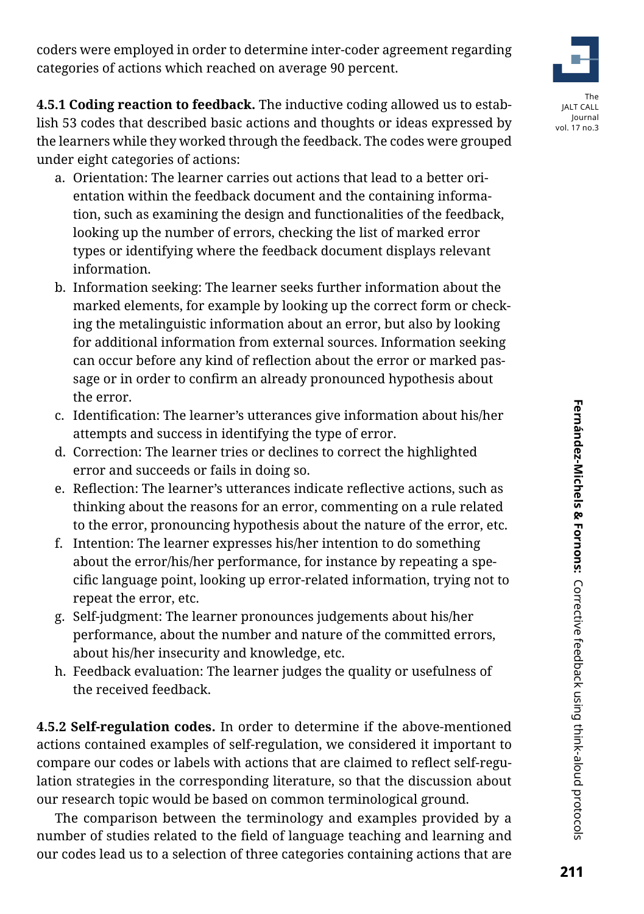coders were employed in order to determine inter-coder agreement regarding categories of actions which reached on average 90 percent.

**4.5.1 Coding reaction to feedback.** The inductive coding allowed us to establish 53 codes that described basic actions and thoughts or ideas expressed by the learners while they worked through the feedback. The codes were grouped under eight categories of actions:

- a. Orientation: The learner carries out actions that lead to a better orientation within the feedback document and the containing information, such as examining the design and functionalities of the feedback, looking up the number of errors, checking the list of marked error types or identifying where the feedback document displays relevant information.
- b. Information seeking: The learner seeks further information about the marked elements, for example by looking up the correct form or checking the metalinguistic information about an error, but also by looking for additional information from external sources. Information seeking can occur before any kind of reflection about the error or marked passage or in order to confirm an already pronounced hypothesis about the error.
- c. Identification: The learner's utterances give information about his/her attempts and success in identifying the type of error.
- d. Correction: The learner tries or declines to correct the highlighted error and succeeds or fails in doing so.
- e. Reflection: The learner's utterances indicate reflective actions, such as thinking about the reasons for an error, commenting on a rule related to the error, pronouncing hypothesis about the nature of the error, etc.
- f. Intention: The learner expresses his/her intention to do something about the error/his/her performance, for instance by repeating a specific language point, looking up error-related information, trying not to repeat the error, etc.
- g. Self-judgment: The learner pronounces judgements about his/her performance, about the number and nature of the committed errors, about his/her insecurity and knowledge, etc.
- h. Feedback evaluation: The learner judges the quality or usefulness of the received feedback.

**4.5.2 Self-regulation codes.** In order to determine if the above-mentioned actions contained examples of self-regulation, we considered it important to compare our codes or labels with actions that are claimed to reflect self-regulation strategies in the corresponding literature, so that the discussion about our research topic would be based on common terminological ground.

The comparison between the terminology and examples provided by a number of studies related to the field of language teaching and learning and our codes lead us to a selection of three categories containing actions that are



JALT CALL Journal vol. 17 no.3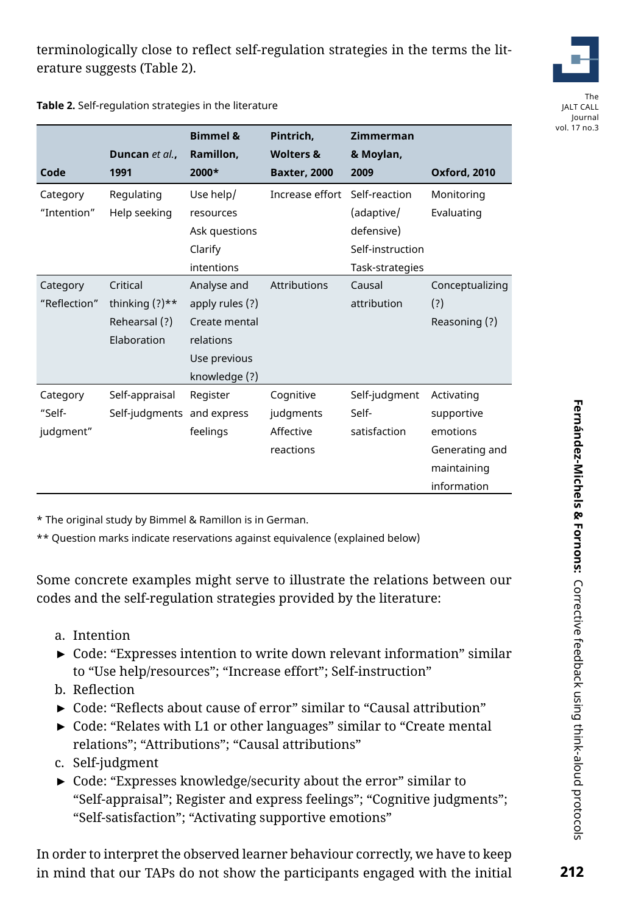

The JALT CALL Journal vol. 17 no.3

|              |                            | <b>Bimmel &amp;</b> | Pintrich.            | Zimmerman        |                     |
|--------------|----------------------------|---------------------|----------------------|------------------|---------------------|
|              | Duncan et al.,             | Ramillon,           | <b>Wolters &amp;</b> | & Moylan,        |                     |
| Code         | 1991                       | 2000*               | <b>Baxter, 2000</b>  | 2009             | <b>Oxford, 2010</b> |
| Category     | Regulating                 | Use help/           | Increase effort      | Self-reaction    | Monitoring          |
| "Intention"  | Help seeking               | resources           |                      | (adaptive/       | Evaluating          |
|              |                            | Ask questions       |                      | defensive)       |                     |
|              |                            | Clarify             |                      | Self-instruction |                     |
|              |                            | intentions          |                      | Task-strategies  |                     |
| Category     | Critical                   | Analyse and         | Attributions         | Causal           | Conceptualizing     |
| "Reflection" | thinking $(?)$ **          | apply rules (?)     |                      | attribution      | (?)                 |
|              | Rehearsal (?)              | Create mental       |                      |                  | Reasoning (?)       |
|              | Elaboration                | relations           |                      |                  |                     |
|              |                            | Use previous        |                      |                  |                     |
|              |                            | knowledge (?)       |                      |                  |                     |
| Category     | Self-appraisal             | Register            | Cognitive            | Self-judgment    | Activating          |
| "Self-       | Self-judgments and express |                     | judgments            | Self-            | supportive          |
| judgment"    |                            | feelings            | Affective            | satisfaction     | emotions            |
|              |                            |                     | reactions            |                  | Generating and      |
|              |                            |                     |                      |                  | maintaining         |
|              |                            |                     |                      |                  | information         |

\* The original study by Bimmel & Ramillon is in German.

**Table 2.** Self-regulation strategies in the literature

\*\* Question marks indicate reservations against equivalence (explained below)

Some concrete examples might serve to illustrate the relations between our codes and the self-regulation strategies provided by the literature:

- a. Intention
- ► Code: "Expresses intention to write down relevant information" similar to "Use help/resources"; "Increase effort"; Self-instruction"
- b. Reflection
- ► Code: "Reflects about cause of error" similar to "Causal attribution"
- ► Code: "Relates with L1 or other languages" similar to "Create mental relations"; "Attributions"; "Causal attributions"
- c. Self-judgment
- ► Code: "Expresses knowledge/security about the error" similar to "Self-appraisal"; Register and express feelings"; "Cognitive judgments"; "Self-satisfaction"; "Activating supportive emotions"

In order to interpret the observed learner behaviour correctly, we have to keep in mind that our TAPs do not show the participants engaged with the initial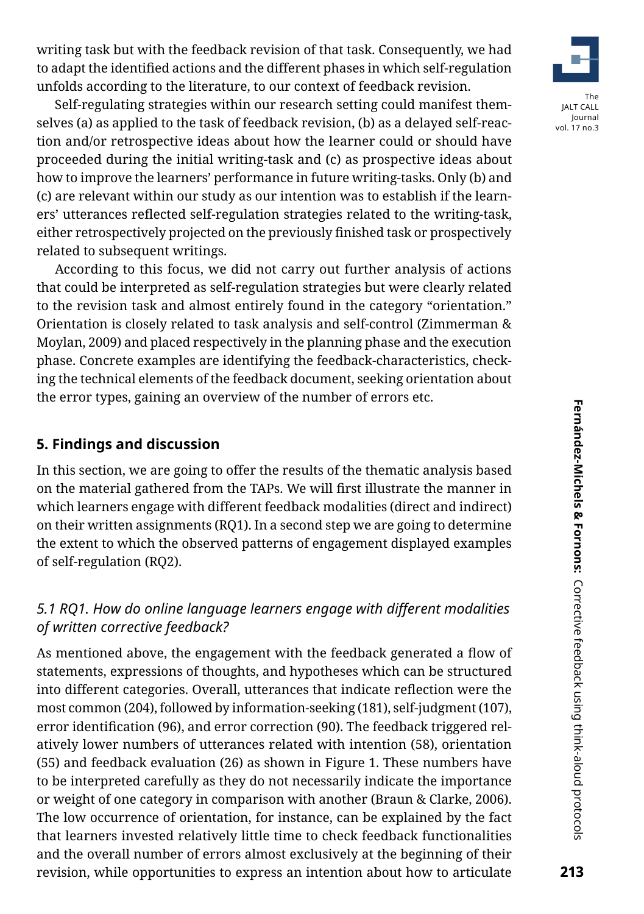writing task but with the feedback revision of that task. Consequently, we had to adapt the identified actions and the different phases in which self-regulation unfolds according to the literature, to our context of feedback revision.

Self-regulating strategies within our research setting could manifest themselves (a) as applied to the task of feedback revision, (b) as a delayed self-reaction and/or retrospective ideas about how the learner could or should have proceeded during the initial writing-task and (c) as prospective ideas about how to improve the learners' performance in future writing-tasks. Only (b) and (c) are relevant within our study as our intention was to establish if the learners' utterances reflected self-regulation strategies related to the writing-task, either retrospectively projected on the previously finished task or prospectively related to subsequent writings.

According to this focus, we did not carry out further analysis of actions that could be interpreted as self-regulation strategies but were clearly related to the revision task and almost entirely found in the category "orientation." Orientation is closely related to task analysis and self-control (Zimmerman & Moylan, 2009) and placed respectively in the planning phase and the execution phase. Concrete examples are identifying the feedback-characteristics, checking the technical elements of the feedback document, seeking orientation about the error types, gaining an overview of the number of errors etc.

### **5. Findings and discussion**

In this section, we are going to offer the results of the thematic analysis based on the material gathered from the TAPs. We will first illustrate the manner in which learners engage with different feedback modalities (direct and indirect) on their written assignments (RQ1). In a second step we are going to determine the extent to which the observed patterns of engagement displayed examples of self-regulation (RQ2).

### *5.1 RQ1. How do online language learners engage with different modalities of written corrective feedback?*

As mentioned above, the engagement with the feedback generated a flow of statements, expressions of thoughts, and hypotheses which can be structured into different categories. Overall, utterances that indicate reflection were the most common (204), followed by information-seeking (181), self-judgment (107), error identification (96), and error correction (90). The feedback triggered relatively lower numbers of utterances related with intention (58), orientation (55) and feedback evaluation (26) as shown in Figure 1. These numbers have to be interpreted carefully as they do not necessarily indicate the importance or weight of one category in comparison with another (Braun & Clarke, 2006). The low occurrence of orientation, for instance, can be explained by the fact that learners invested relatively little time to check feedback functionalities and the overall number of errors almost exclusively at the beginning of their revision, while opportunities to express an intention about how to articulate



vol. 17 no.3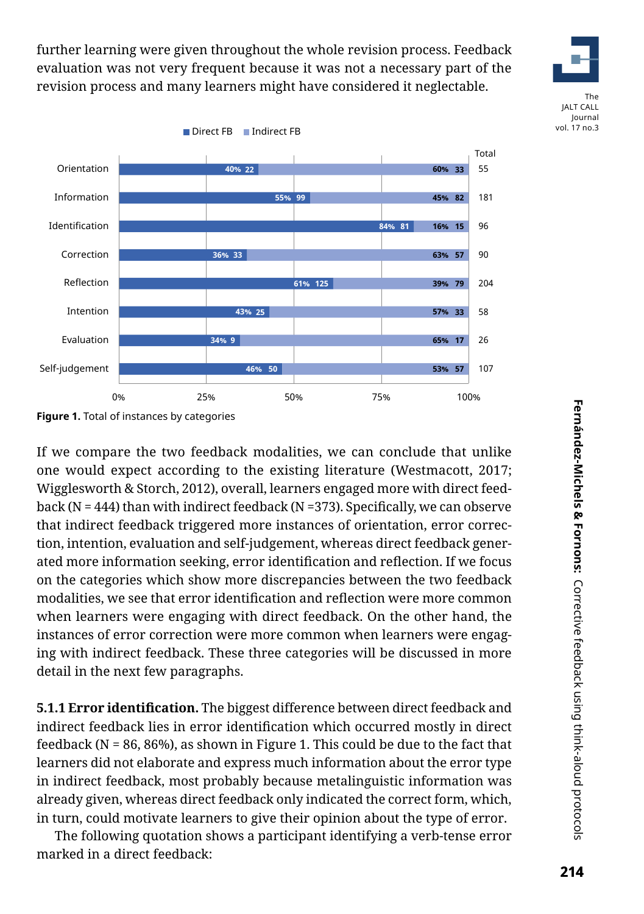further learning were given throughout the whole revision process. Feedback evaluation was not very frequent because it was not a necessary part of the revision process and many learners might have considered it neglectable.



214

The JALT CALL Journal vol. 17 no.3



If we compare the two feedback modalities, we can conclude that unlike one would expect according to the existing literature (Westmacott, 2017; Wigglesworth & Storch, 2012), overall, learners engaged more with direct feedback (N = 444) than with indirect feedback (N = 373). Specifically, we can observe that indirect feedback triggered more instances of orientation, error correction, intention, evaluation and self-judgement, whereas direct feedback generated more information seeking, error identification and reflection. If we focus on the categories which show more discrepancies between the two feedback modalities, we see that error identification and reflection were more common when learners were engaging with direct feedback. On the other hand, the instances of error correction were more common when learners were engaging with indirect feedback. These three categories will be discussed in more detail in the next few paragraphs.

**5.1.1 Error identification.** The biggest difference between direct feedback and indirect feedback lies in error identification which occurred mostly in direct feedback ( $N = 86, 86\%$ ), as shown in Figure 1. This could be due to the fact that learners did not elaborate and express much information about the error type in indirect feedback, most probably because metalinguistic information was already given, whereas direct feedback only indicated the correct form, which, in turn, could motivate learners to give their opinion about the type of error.

The following quotation shows a participant identifying a verb-tense error marked in a direct feedback: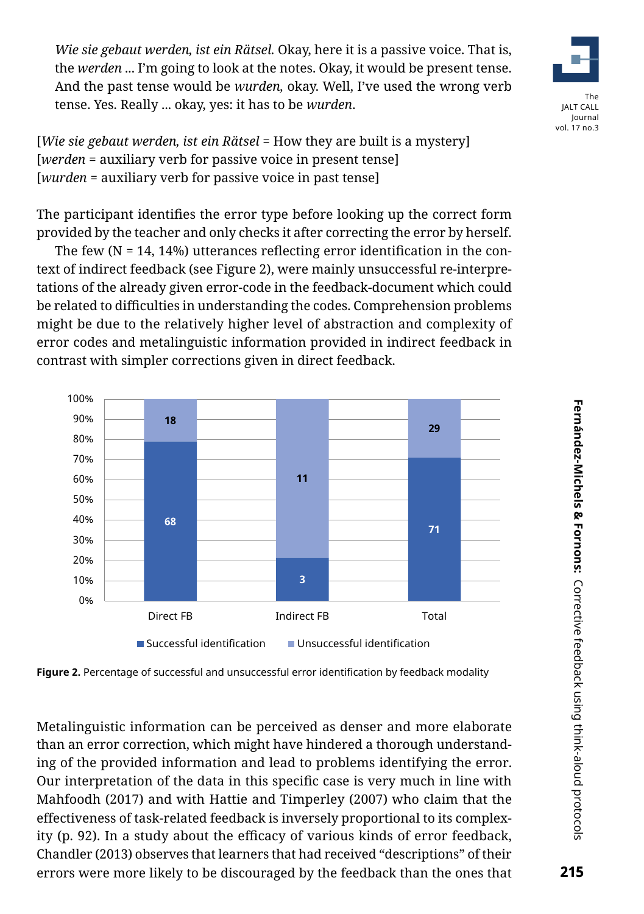*Wie sie gebaut werden, ist ein Rätsel.* Okay, here it is a passive voice. That is, the *werden* ... I'm going to look at the notes. Okay, it would be present tense. And the past tense would be *wurden,* okay. Well, I've used the wrong verb tense. Yes. Really ... okay, yes: it has to be *wurden*.



[*Wie sie gebaut werden, ist ein Rätsel* = How they are built is a mystery] [*werden* = auxiliary verb for passive voice in present tense] [*wurden* = auxiliary verb for passive voice in past tense]

The participant identifies the error type before looking up the correct form provided by the teacher and only checks it after correcting the error by herself.

The few  $(N = 14, 14%)$  utterances reflecting error identification in the context of indirect feedback (see Figure 2), were mainly unsuccessful re-interpretations of the already given error-code in the feedback-document which could be related to difficulties in understanding the codes. Comprehension problems might be due to the relatively higher level of abstraction and complexity of error codes and metalinguistic information provided in indirect feedback in contrast with simpler corrections given in direct feedback.



**Figure 2.** Percentage of successful and unsuccessful error identification by feedback modality

Metalinguistic information can be perceived as denser and more elaborate than an error correction, which might have hindered a thorough understanding of the provided information and lead to problems identifying the error. Our interpretation of the data in this specific case is very much in line with Mahfoodh (2017) and with Hattie and Timperley (2007) who claim that the effectiveness of task-related feedback is inversely proportional to its complexity (p. 92). In a study about the efficacy of various kinds of error feedback, Chandler (2013) observes that learners that had received "descriptions" of their errors were more likely to be discouraged by the feedback than the ones that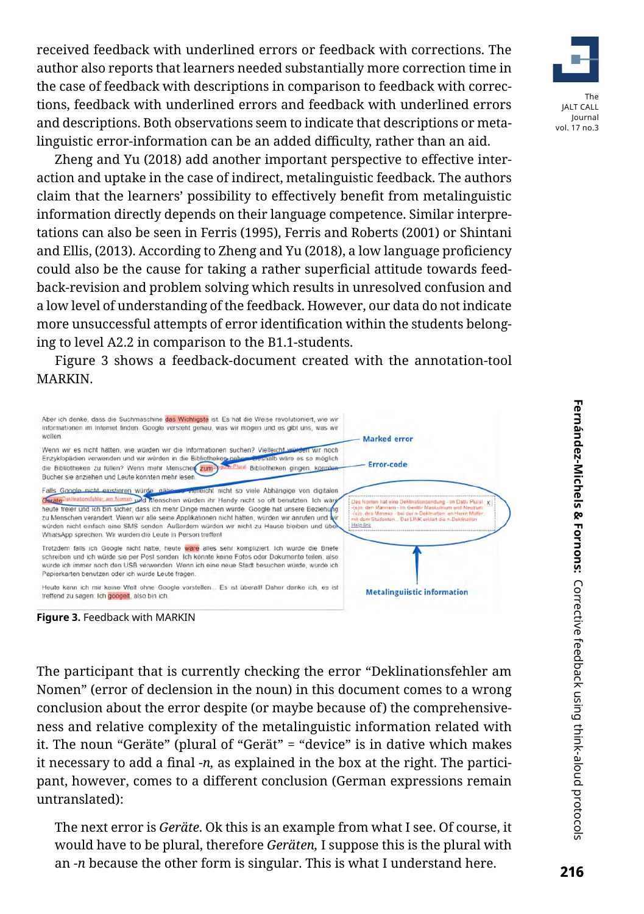received feedback with underlined errors or feedback with corrections. The author also reports that learners needed substantially more correction time in the case of feedback with descriptions in comparison to feedback with corrections, feedback with underlined errors and feedback with underlined errors and descriptions. Both observations seem to indicate that descriptions or metalinguistic error-information can be an added difficulty, rather than an aid.

Zheng and Yu (2018) add another important perspective to effective interaction and uptake in the case of indirect, metalinguistic feedback. The authors claim that the learners' possibility to effectively benefit from metalinguistic information directly depends on their language competence. Similar interpretations can also be seen in Ferris (1995), Ferris and Roberts (2001) or Shintani and Ellis, (2013). According to Zheng and Yu (2018), a low language proficiency could also be the cause for taking a rather superficial attitude towards feedback-revision and problem solving which results in unresolved confusion and a low level of understanding of the feedback. However, our data do not indicate more unsuccessful attempts of error identification within the students belonging to level A2.2 in comparison to the B1.1-students.

Figure 3 shows a feedback-document created with the annotation-tool MARKIN.





The participant that is currently checking the error "Deklinationsfehler am Nomen" (error of declension in the noun) in this document comes to a wrong conclusion about the error despite (or maybe because of) the comprehensiveness and relative complexity of the metalinguistic information related with it. The noun "Geräte" (plural of "Gerät" = "device" is in dative which makes it necessary to add a final -*n,* as explained in the box at the right. The participant, however, comes to a different conclusion (German expressions remain untranslated):

The next error is *Geräte*. Ok this is an example from what I see. Of course, it would have to be plural, therefore *Geräten,* I suppose this is the plural with an *-n* because the other form is singular. This is what I understand here.

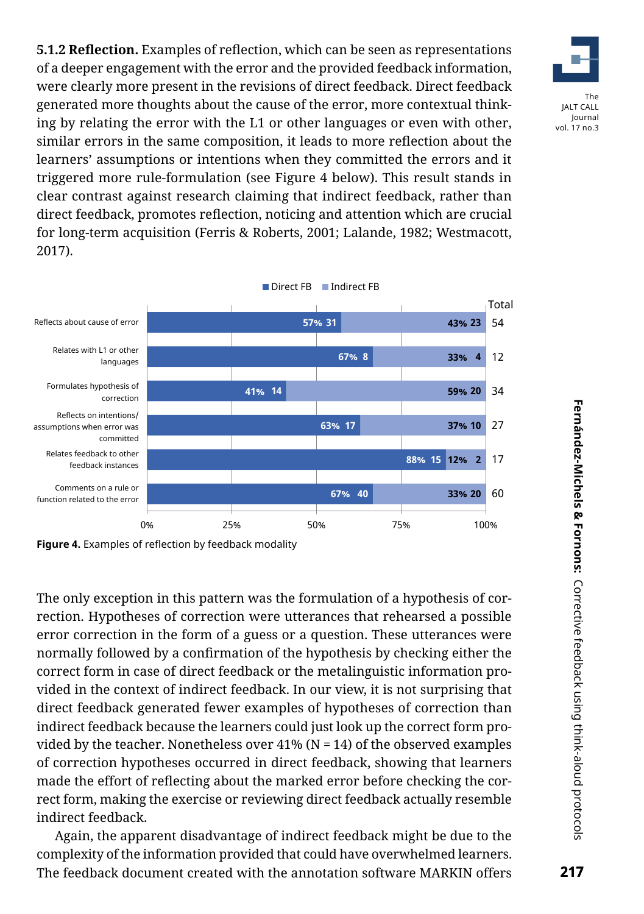**5.1.2 Reflection.** Examples of reflection, which can be seen as representations of a deeper engagement with the error and the provided feedback information, were clearly more present in the revisions of direct feedback. Direct feedback generated more thoughts about the cause of the error, more contextual thinking by relating the error with the L1 or other languages or even with other, similar errors in the same composition, it leads to more reflection about the learners' assumptions or intentions when they committed the errors and it triggered more rule-formulation (see Figure 4 below). This result stands in clear contrast against research claiming that indirect feedback, rather than direct feedback, promotes reflection, noticing and attention which are crucial for long-term acquisition (Ferris & Roberts, 2001; Lalande, 1982; Westmacott, 2017).



**Figure 4.** Examples of reflection by feedback modality

The only exception in this pattern was the formulation of a hypothesis of correction. Hypotheses of correction were utterances that rehearsed a possible error correction in the form of a guess or a question. These utterances were normally followed by a confirmation of the hypothesis by checking either the correct form in case of direct feedback or the metalinguistic information provided in the context of indirect feedback. In our view, it is not surprising that direct feedback generated fewer examples of hypotheses of correction than indirect feedback because the learners could just look up the correct form provided by the teacher. Nonetheless over  $41\%$  (N = 14) of the observed examples of correction hypotheses occurred in direct feedback, showing that learners made the effort of reflecting about the marked error before checking the correct form, making the exercise or reviewing direct feedback actually resemble indirect feedback.

Again, the apparent disadvantage of indirect feedback might be due to the complexity of the information provided that could have overwhelmed learners. The feedback document created with the annotation software MARKIN offers

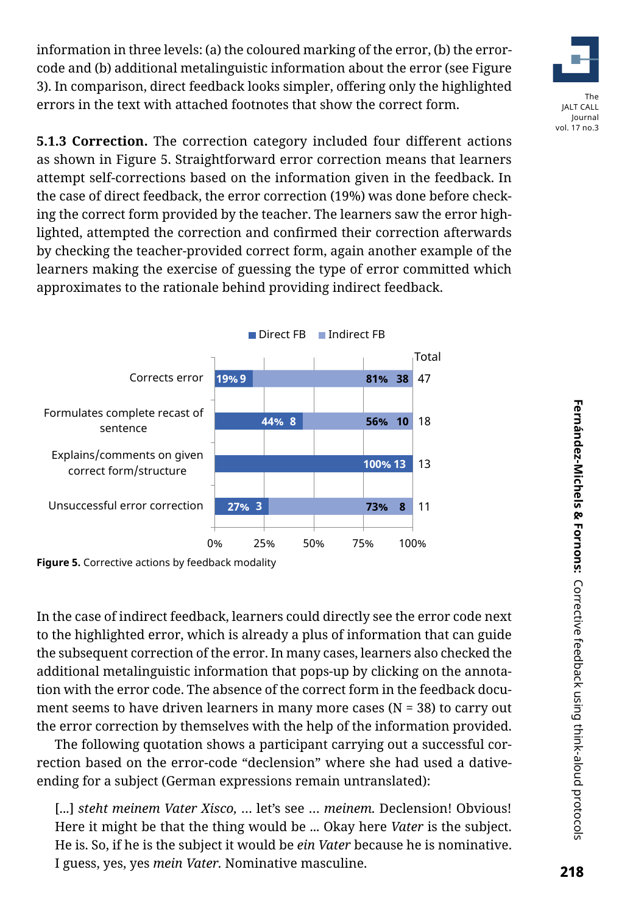information in three levels: (a) the coloured marking of the error, (b) the errorcode and (b) additional metalinguistic information about the error (see Figure 3). In comparison, direct feedback looks simpler, offering only the highlighted errors in the text with attached footnotes that show the correct form.



**5.1.3 Correction.** The correction category included four different actions as shown in Figure 5. Straightforward error correction means that learners attempt self-corrections based on the information given in the feedback. In the case of direct feedback, the error correction (19%) was done before checking the correct form provided by the teacher. The learners saw the error highlighted, attempted the correction and confirmed their correction afterwards by checking the teacher-provided correct form, again another example of the learners making the exercise of guessing the type of error committed which approximates to the rationale behind providing indirect feedback.



**Figure 5.** Corrective actions by feedback modality

In the case of indirect feedback, learners could directly see the error code next to the highlighted error, which is already a plus of information that can guide the subsequent correction of the error. In many cases, learners also checked the additional metalinguistic information that pops-up by clicking on the annotation with the error code. The absence of the correct form in the feedback document seems to have driven learners in many more cases ( $N = 38$ ) to carry out the error correction by themselves with the help of the information provided.

The following quotation shows a participant carrying out a successful correction based on the error-code "declension" where she had used a dativeending for a subject (German expressions remain untranslated):

[...] *steht meinem Vater Xisco,* … let's see … *meinem.* Declension! Obvious! Here it might be that the thing would be ... Okay here *Vater* is the subject. He is. So, if he is the subject it would be *ein Vater* because he is nominative. I guess, yes, yes *mein Vater.* Nominative masculine.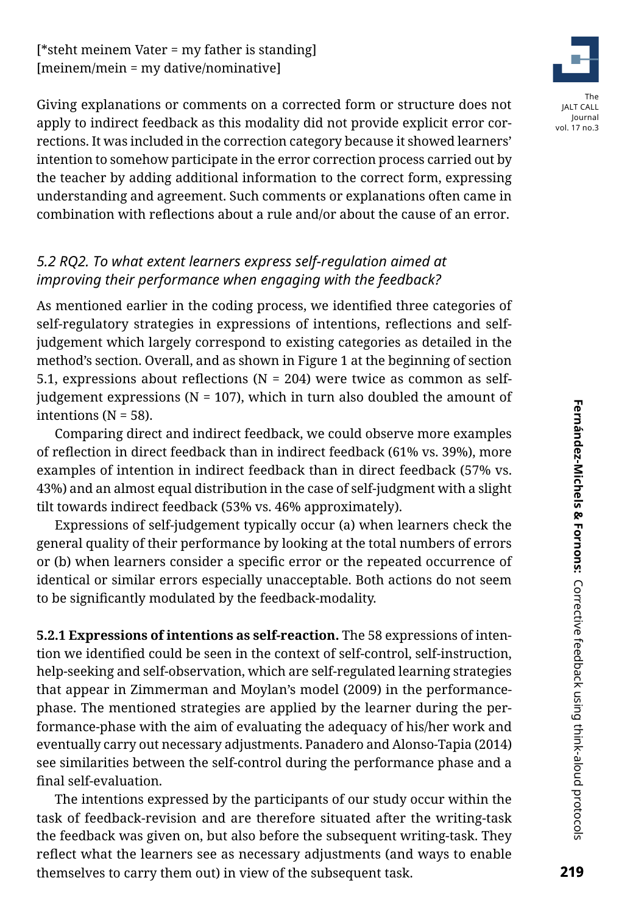Giving explanations or comments on a corrected form or structure does not apply to indirect feedback as this modality did not provide explicit error corrections. It was included in the correction category because it showed learners' intention to somehow participate in the error correction process carried out by the teacher by adding additional information to the correct form, expressing understanding and agreement. Such comments or explanations often came in combination with reflections about a rule and/or about the cause of an error.

# *5.2 RQ2. To what extent learners express self-regulation aimed at improving their performance when engaging with the feedback?*

As mentioned earlier in the coding process, we identified three categories of self-regulatory strategies in expressions of intentions, reflections and selfjudgement which largely correspond to existing categories as detailed in the method's section. Overall, and as shown in Figure 1 at the beginning of section 5.1, expressions about reflections ( $N = 204$ ) were twice as common as selfjudgement expressions ( $N = 107$ ), which in turn also doubled the amount of intentions (N = 58).

Comparing direct and indirect feedback, we could observe more examples of reflection in direct feedback than in indirect feedback (61% vs. 39%), more examples of intention in indirect feedback than in direct feedback (57% vs. 43%) and an almost equal distribution in the case of self-judgment with a slight tilt towards indirect feedback (53% vs. 46% approximately).

Expressions of self-judgement typically occur (a) when learners check the general quality of their performance by looking at the total numbers of errors or (b) when learners consider a specific error or the repeated occurrence of identical or similar errors especially unacceptable. Both actions do not seem to be significantly modulated by the feedback-modality.

**5.2.1 Expressions of intentions as self-reaction.** The 58 expressions of intention we identified could be seen in the context of self-control, self-instruction, help-seeking and self-observation, which are self-regulated learning strategies that appear in Zimmerman and Moylan's model (2009) in the performancephase. The mentioned strategies are applied by the learner during the performance-phase with the aim of evaluating the adequacy of his/her work and eventually carry out necessary adjustments. Panadero and Alonso-Tapia (2014) see similarities between the self-control during the performance phase and a final self-evaluation.

The intentions expressed by the participants of our study occur within the task of feedback-revision and are therefore situated after the writing-task the feedback was given on, but also before the subsequent writing-task. They reflect what the learners see as necessary adjustments (and ways to enable themselves to carry them out) in view of the subsequent task.

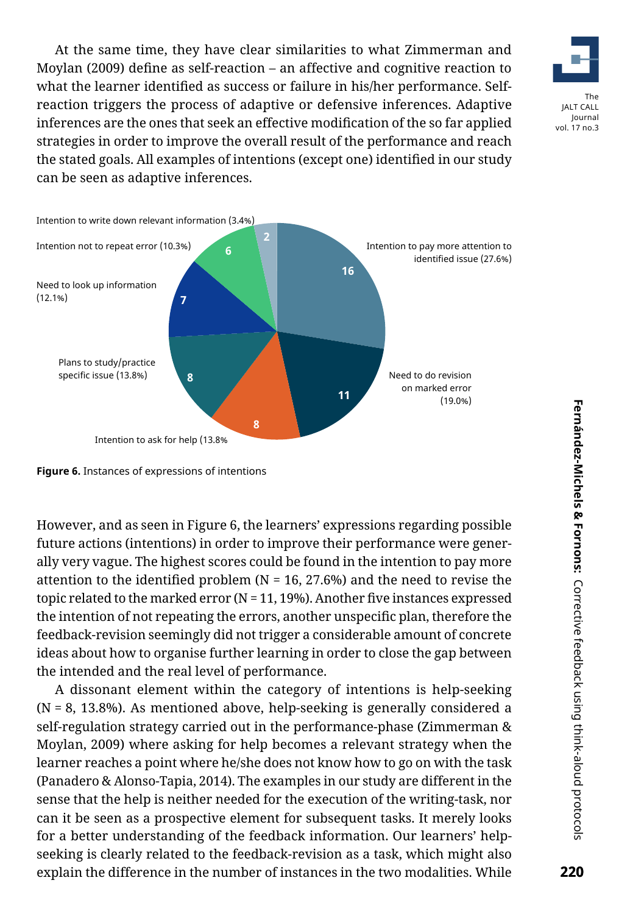At the same time, they have clear similarities to what Zimmerman and Moylan (2009) define as self-reaction – an affective and cognitive reaction to what the learner identified as success or failure in his/her performance. Selfreaction triggers the process of adaptive or defensive inferences. Adaptive inferences are the ones that seek an effective modification of the so far applied strategies in order to improve the overall result of the performance and reach the stated goals. All examples of intentions (except one) identified in our study can be seen as adaptive inferences.





**Figure 6.** Instances of expressions of intentions

However, and as seen in Figure 6, the learners' expressions regarding possible future actions (intentions) in order to improve their performance were generally very vague. The highest scores could be found in the intention to pay more attention to the identified problem ( $N = 16, 27.6%$ ) and the need to revise the topic related to the marked error ( $N = 11, 19\%$ ). Another five instances expressed the intention of not repeating the errors, another unspecific plan, therefore the feedback-revision seemingly did not trigger a considerable amount of concrete ideas about how to organise further learning in order to close the gap between the intended and the real level of performance.

A dissonant element within the category of intentions is help-seeking (N = 8, 13.8%). As mentioned above, help-seeking is generally considered a self-regulation strategy carried out in the performance-phase (Zimmerman & Moylan, 2009) where asking for help becomes a relevant strategy when the learner reaches a point where he/she does not know how to go on with the task (Panadero & Alonso-Tapia, 2014). The examples in our study are different in the sense that the help is neither needed for the execution of the writing-task, nor can it be seen as a prospective element for subsequent tasks. It merely looks for a better understanding of the feedback information. Our learners' helpseeking is clearly related to the feedback-revision as a task, which might also explain the difference in the number of instances in the two modalities. While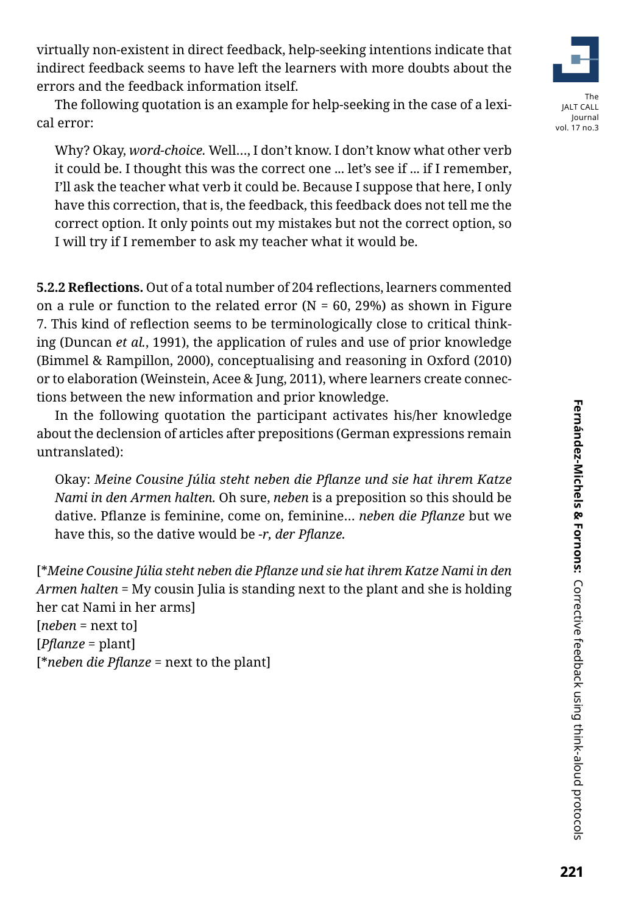virtually non-existent in direct feedback, help-seeking intentions indicate that indirect feedback seems to have left the learners with more doubts about the errors and the feedback information itself.

The following quotation is an example for help-seeking in the case of a lexical error:

Why? Okay, *word-choice.* Well…, I don't know. I don't know what other verb it could be. I thought this was the correct one ... let's see if ... if I remember, I'll ask the teacher what verb it could be. Because I suppose that here, I only have this correction, that is, the feedback, this feedback does not tell me the correct option. It only points out my mistakes but not the correct option, so I will try if I remember to ask my teacher what it would be.

**5.2.2 Reflections.** Out of a total number of 204 reflections, learners commented on a rule or function to the related error ( $N = 60$ , 29%) as shown in Figure 7. This kind of reflection seems to be terminologically close to critical thinking (Duncan *et al.*, 1991), the application of rules and use of prior knowledge (Bimmel & Rampillon, 2000), conceptualising and reasoning in Oxford (2010) or to elaboration (Weinstein, Acee & Jung, 2011), where learners create connections between the new information and prior knowledge.

In the following quotation the participant activates his/her knowledge about the declension of articles after prepositions (German expressions remain untranslated):

Okay: *Meine Cousine Júlia steht neben die Pflanze und sie hat ihrem Katze Nami in den Armen halten.* Oh sure, *neben* is a preposition so this should be dative. Pflanze is feminine, come on, feminine… *neben die Pflanze* but we have this, so the dative would be *-r, der Pflanze.*

[\**Meine Cousine Júlia steht neben die Pflanze und sie hat ihrem Katze Nami in den Armen halten* = My cousin Julia is standing next to the plant and she is holding her cat Nami in her arms]

[*neben* = next to] [*Pflanze* = plant] [\**neben die Pflanze* = next to the plant]



vol. 17 no.3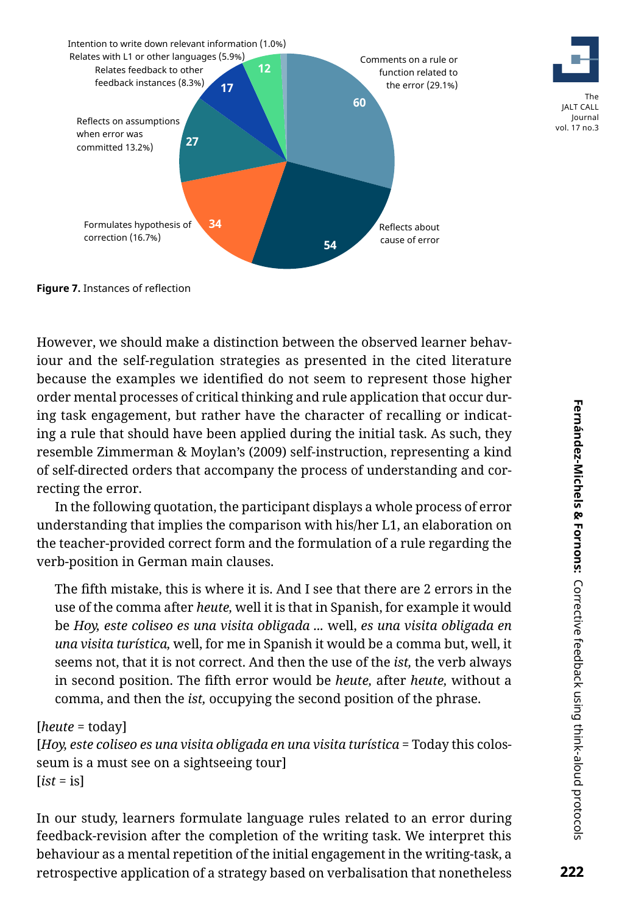



JALT CALL Journal vol. 17 no.3

```
Figure 7. Instances of reflection
```
However, we should make a distinction between the observed learner behaviour and the self-regulation strategies as presented in the cited literature because the examples we identified do not seem to represent those higher order mental processes of critical thinking and rule application that occur during task engagement, but rather have the character of recalling or indicating a rule that should have been applied during the initial task. As such, they resemble Zimmerman & Moylan's (2009) self-instruction, representing a kind of self-directed orders that accompany the process of understanding and correcting the error.

In the following quotation, the participant displays a whole process of error understanding that implies the comparison with his/her L1, an elaboration on the teacher-provided correct form and the formulation of a rule regarding the verb-position in German main clauses.

The fifth mistake, this is where it is. And I see that there are 2 errors in the use of the comma after *heute,* well it is that in Spanish, for example it would be *Hoy, este coliseo es una visita obligada ...* well, *es una visita obligada en una visita turística,* well, for me in Spanish it would be a comma but, well, it seems not, that it is not correct. And then the use of the *ist,* the verb always in second position. The fifth error would be *heute,* after *heute,* without a comma, and then the *ist,* occupying the second position of the phrase.

### [*heute* = today]

[*Hoy, este coliseo es una visita obligada en una visita turística* = Today this colosseum is a must see on a sightseeing tour] [*ist* = is]

In our study, learners formulate language rules related to an error during feedback-revision after the completion of the writing task. We interpret this behaviour as a mental repetition of the initial engagement in the writing-task, a retrospective application of a strategy based on verbalisation that nonetheless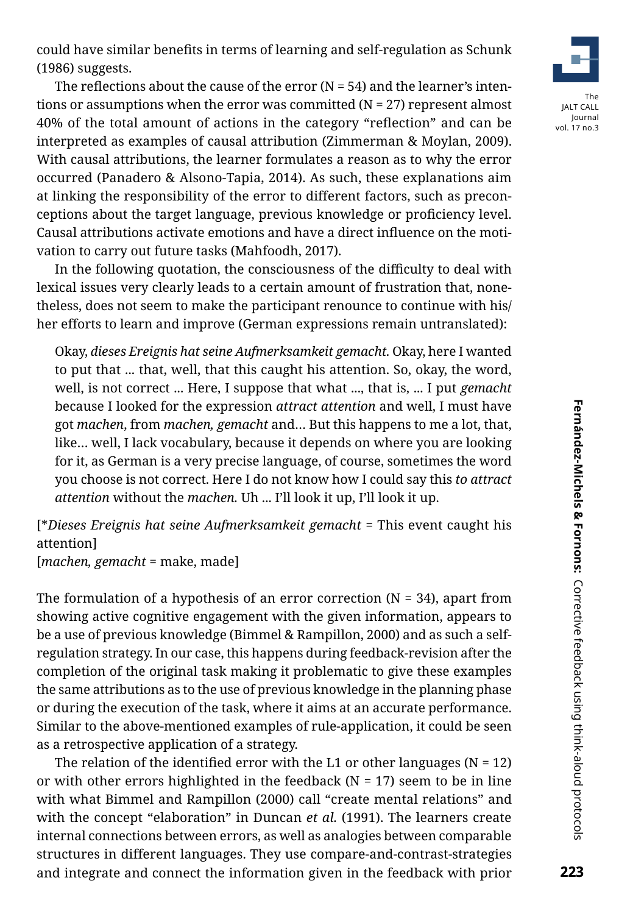could have similar benefits in terms of learning and self-regulation as Schunk (1986) suggests.

The reflections about the cause of the error  $(N = 54)$  and the learner's intentions or assumptions when the error was committed  $(N = 27)$  represent almost 40% of the total amount of actions in the category "reflection" and can be interpreted as examples of causal attribution (Zimmerman & Moylan, 2009). With causal attributions, the learner formulates a reason as to why the error occurred (Panadero & Alsono-Tapia, 2014). As such, these explanations aim at linking the responsibility of the error to different factors, such as preconceptions about the target language, previous knowledge or proficiency level. Causal attributions activate emotions and have a direct influence on the motivation to carry out future tasks (Mahfoodh, 2017).

In the following quotation, the consciousness of the difficulty to deal with lexical issues very clearly leads to a certain amount of frustration that, nonetheless, does not seem to make the participant renounce to continue with his/ her efforts to learn and improve (German expressions remain untranslated):

Okay, *dieses Ereignis hat seine Aufmerksamkeit gemacht.* Okay, here I wanted to put that ... that, well, that this caught his attention. So, okay, the word, well, is not correct ... Here, I suppose that what ..., that is, ... I put *gemacht* because I looked for the expression *attract attention* and well, I must have got *machen*, from *machen, gemacht* and… But this happens to me a lot, that, like… well, I lack vocabulary, because it depends on where you are looking for it, as German is a very precise language, of course, sometimes the word you choose is not correct. Here I do not know how I could say this *to attract attention* without the *machen.* Uh ... I'll look it up, I'll look it up.

[\**Dieses Ereignis hat seine Aufmerksamkeit gemacht* = This event caught his attention]

[*machen, gemacht* = make, made]

The formulation of a hypothesis of an error correction ( $N = 34$ ), apart from showing active cognitive engagement with the given information, appears to be a use of previous knowledge (Bimmel & Rampillon, 2000) and as such a selfregulation strategy. In our case, this happens during feedback-revision after the completion of the original task making it problematic to give these examples the same attributions as to the use of previous knowledge in the planning phase or during the execution of the task, where it aims at an accurate performance. Similar to the above-mentioned examples of rule-application, it could be seen as a retrospective application of a strategy.

The relation of the identified error with the L1 or other languages ( $N = 12$ ) or with other errors highlighted in the feedback ( $N = 17$ ) seem to be in line with what Bimmel and Rampillon (2000) call "create mental relations" and with the concept "elaboration" in Duncan *et al.* (1991). The learners create internal connections between errors, as well as analogies between comparable structures in different languages. They use compare-and-contrast-strategies and integrate and connect the information given in the feedback with prior

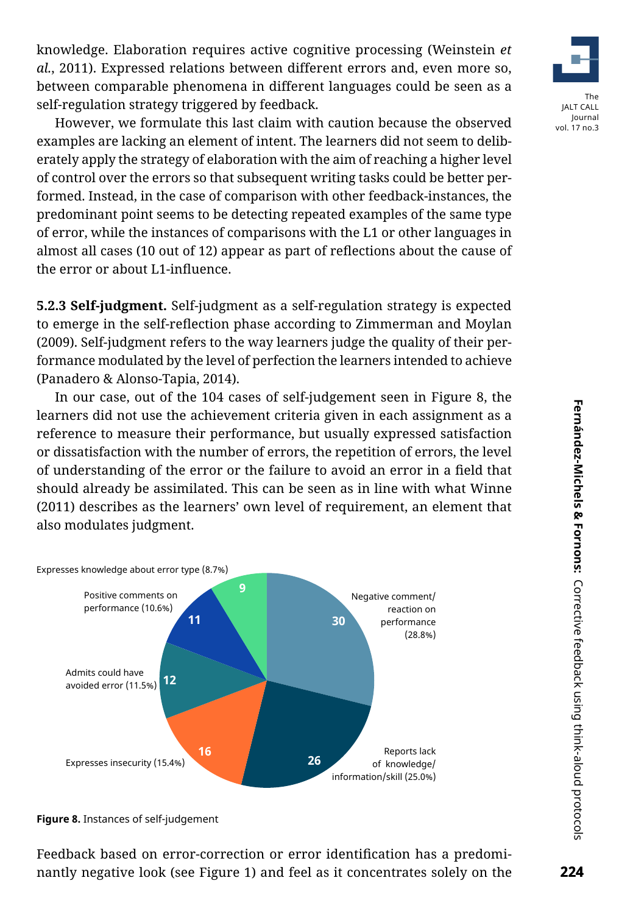knowledge. Elaboration requires active cognitive processing (Weinstein *et al.*, 2011). Expressed relations between different errors and, even more so, between comparable phenomena in different languages could be seen as a self-regulation strategy triggered by feedback.

However, we formulate this last claim with caution because the observed examples are lacking an element of intent. The learners did not seem to deliberately apply the strategy of elaboration with the aim of reaching a higher level of control over the errors so that subsequent writing tasks could be better performed. Instead, in the case of comparison with other feedback-instances, the predominant point seems to be detecting repeated examples of the same type of error, while the instances of comparisons with the L1 or other languages in almost all cases (10 out of 12) appear as part of reflections about the cause of the error or about L1-influence.

**5.2.3 Self-judgment.** Self-judgment as a self-regulation strategy is expected to emerge in the self-reflection phase according to Zimmerman and Moylan (2009). Self-judgment refers to the way learners judge the quality of their performance modulated by the level of perfection the learners intended to achieve (Panadero & Alonso-Tapia, 2014).

In our case, out of the 104 cases of self-judgement seen in Figure 8, the learners did not use the achievement criteria given in each assignment as a reference to measure their performance, but usually expressed satisfaction or dissatisfaction with the number of errors, the repetition of errors, the level of understanding of the error or the failure to avoid an error in a field that should already be assimilated. This can be seen as in line with what Winne (2011) describes as the learners' own level of requirement, an element that also modulates judgment.



**Figure 8.** Instances of self-judgement

Feedback based on error-correction or error identification has a predominantly negative look (see Figure 1) and feel as it concentrates solely on the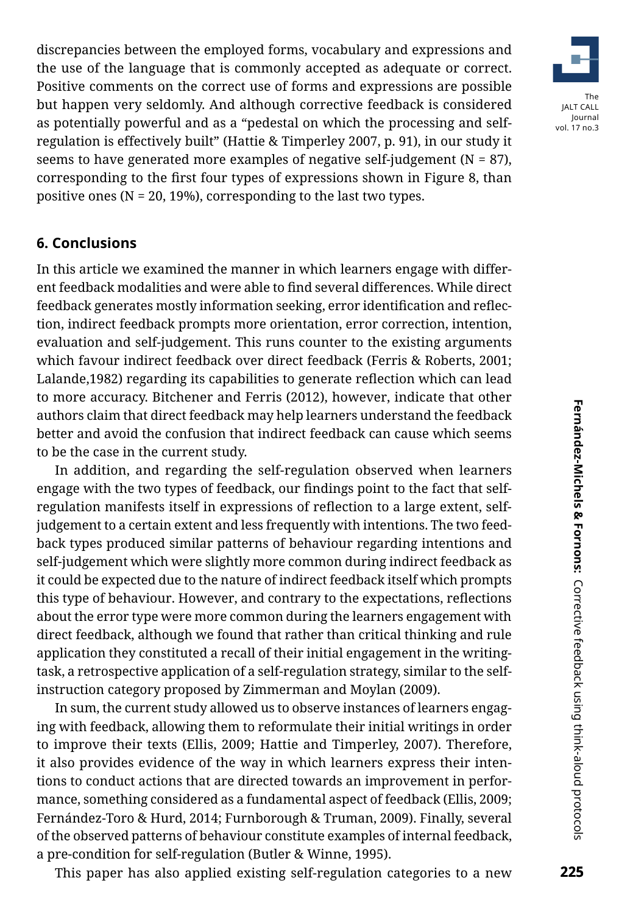discrepancies between the employed forms, vocabulary and expressions and the use of the language that is commonly accepted as adequate or correct. Positive comments on the correct use of forms and expressions are possible but happen very seldomly. And although corrective feedback is considered as potentially powerful and as a "pedestal on which the processing and selfregulation is effectively built" (Hattie & Timperley 2007, p. 91), in our study it seems to have generated more examples of negative self-judgement ( $N = 87$ ), corresponding to the first four types of expressions shown in Figure 8, than positive ones (N = 20, 19%), corresponding to the last two types.

### **6. Conclusions**

In this article we examined the manner in which learners engage with different feedback modalities and were able to find several differences. While direct feedback generates mostly information seeking, error identification and reflection, indirect feedback prompts more orientation, error correction, intention, evaluation and self-judgement. This runs counter to the existing arguments which favour indirect feedback over direct feedback (Ferris & Roberts, 2001; Lalande,1982) regarding its capabilities to generate reflection which can lead to more accuracy. Bitchener and Ferris (2012), however, indicate that other authors claim that direct feedback may help learners understand the feedback better and avoid the confusion that indirect feedback can cause which seems to be the case in the current study.

In addition, and regarding the self-regulation observed when learners engage with the two types of feedback, our findings point to the fact that selfregulation manifests itself in expressions of reflection to a large extent, selfjudgement to a certain extent and less frequently with intentions. The two feedback types produced similar patterns of behaviour regarding intentions and self-judgement which were slightly more common during indirect feedback as it could be expected due to the nature of indirect feedback itself which prompts this type of behaviour. However, and contrary to the expectations, reflections about the error type were more common during the learners engagement with direct feedback, although we found that rather than critical thinking and rule application they constituted a recall of their initial engagement in the writingtask, a retrospective application of a self-regulation strategy, similar to the selfinstruction category proposed by Zimmerman and Moylan (2009).

In sum, the current study allowed us to observe instances of learners engaging with feedback, allowing them to reformulate their initial writings in order to improve their texts (Ellis, 2009; Hattie and Timperley, 2007). Therefore, it also provides evidence of the way in which learners express their intentions to conduct actions that are directed towards an improvement in performance, something considered as a fundamental aspect of feedback (Ellis, 2009; Fernández-Toro & Hurd, 2014; Furnborough & Truman, 2009). Finally, several of the observed patterns of behaviour constitute examples of internal feedback, a pre-condition for self-regulation (Butler & Winne, 1995).

This paper has also applied existing self-regulation categories to a new

225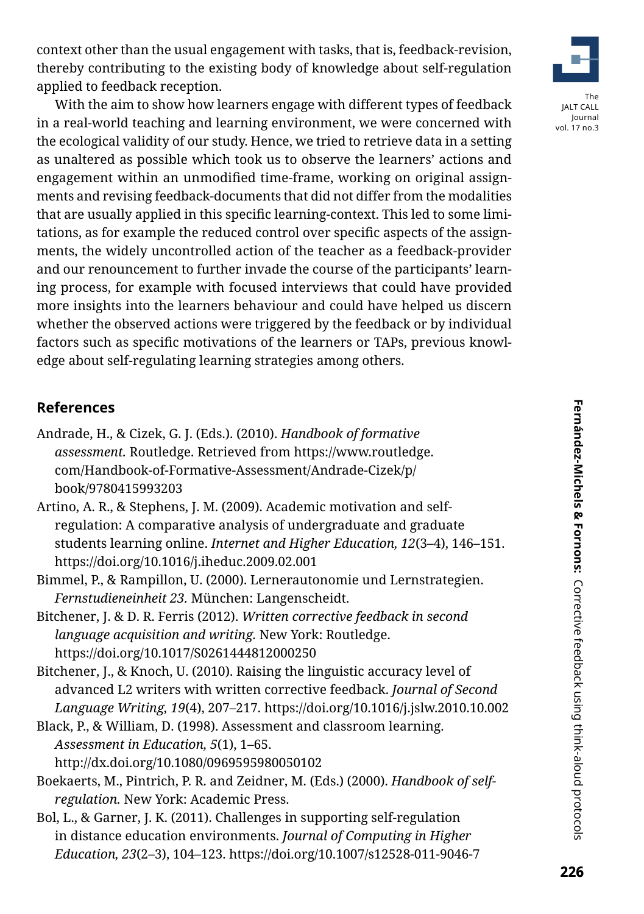context other than the usual engagement with tasks, that is, feedback-revision, thereby contributing to the existing body of knowledge about self-regulation applied to feedback reception.

With the aim to show how learners engage with different types of feedback in a real-world teaching and learning environment, we were concerned with the ecological validity of our study. Hence, we tried to retrieve data in a setting as unaltered as possible which took us to observe the learners' actions and engagement within an unmodified time-frame, working on original assignments and revising feedback-documents that did not differ from the modalities that are usually applied in this specific learning-context. This led to some limitations, as for example the reduced control over specific aspects of the assignments, the widely uncontrolled action of the teacher as a feedback-provider and our renouncement to further invade the course of the participants' learning process, for example with focused interviews that could have provided more insights into the learners behaviour and could have helped us discern whether the observed actions were triggered by the feedback or by individual factors such as specific motivations of the learners or TAPs, previous knowledge about self-regulating learning strategies among others.

# **References**

- Andrade, H., & Cizek, G. J. (Eds.). (2010). *Handbook of formative assessment.* Routledge. Retrieved from [https://www.routledge.](https://www.routledge.com/Handbook-of-Formative-Assessment/Andrade-Cizek/p/book/9780415993203
) [com/Handbook-of-Formative-Assessment/Andrade-Cizek/p/](https://www.routledge.com/Handbook-of-Formative-Assessment/Andrade-Cizek/p/book/9780415993203
) [book/9780415993203](https://www.routledge.com/Handbook-of-Formative-Assessment/Andrade-Cizek/p/book/9780415993203
)
- Artino, A. R., & Stephens, J. M. (2009). Academic motivation and selfregulation: A comparative analysis of undergraduate and graduate students learning online. *Internet and Higher Education, 12*(3–4), 146–151. https://doi.org/10.1016/j.iheduc.2009.02.001
- Bimmel, P., & Rampillon, U. (2000). Lernerautonomie und Lernstrategien. *Fernstudieneinheit 23.* München: Langenscheidt.
- Bitchener, J. & D. R. Ferris (2012). *Written corrective feedback in second language acquisition and writing.* New York: Routledge. https://doi.org/10.1017/S0261444812000250

Bitchener, J., & Knoch, U. (2010). Raising the linguistic accuracy level of advanced L2 writers with written corrective feedback. *Journal of Second Language Writing, 19*(4), 207–217. https://doi.org/10.1016/j.jslw.2010.10.002

- Black, P., & William, D. (1998). Assessment and classroom learning. *Assessment in Education, 5*(1), 1–65. http://dx.doi.org/10.1080/0969595980050102
- Boekaerts, M., Pintrich, P. R. and Zeidner, M. (Eds.) (2000). *Handbook of selfregulation.* New York: Academic Press.
- Bol, L., & Garner, J. K. (2011). Challenges in supporting self-regulation in distance education environments. *Journal of Computing in Higher Education, 23*(2–3), 104–123. https://doi.org/10.1007/s12528-011-9046-7



vol. 17 no.3

Fernández-Michels & Fornons: Corrective feedback using think-aloud protocols **226Fernández-Michels & Fornons:** Corrective feedback using think-aloud protocols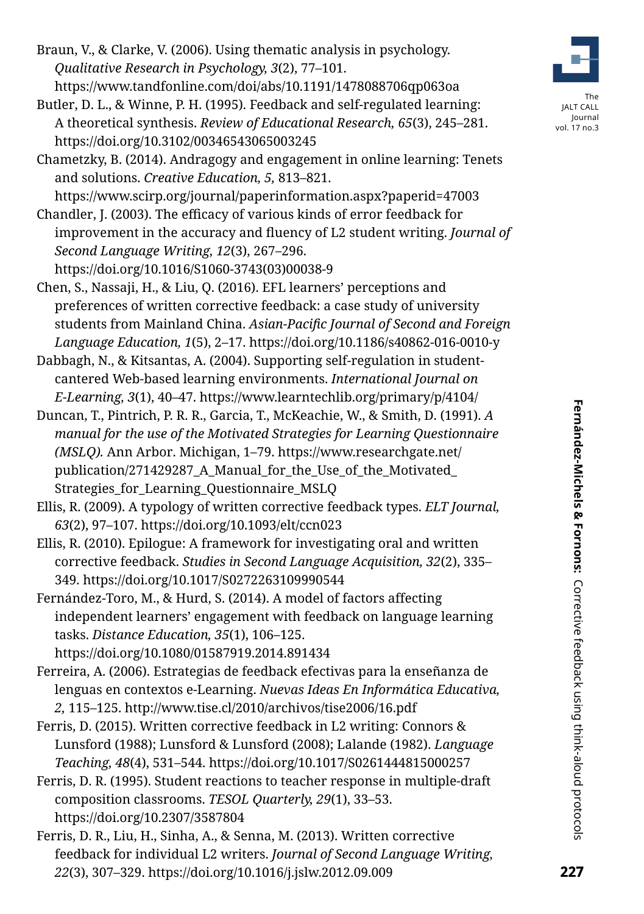- Braun, V., & Clarke, V. (2006). Using thematic analysis in psychology. *Qualitative Research in Psychology, 3*(2), 77–101. https://www.tandfonline.com/doi/abs/10.1191/1478088706qp063oa
- Butler, D. L., & Winne, P. H. (1995). Feedback and self-regulated learning: A theoretical synthesis. *Review of Educational Research, 65*(3), 245–281. https://doi.org/10.3102/00346543065003245



The JALT CALL Journal vol. 17 no.3

Chametzky, B. (2014). Andragogy and engagement in online learning: Tenets and solutions. *Creative Education, 5,* 813–821.

https://www.scirp.org/journal/paperinformation.aspx?paperid=47003

- Chandler, J. (2003). The efficacy of various kinds of error feedback for improvement in the accuracy and fluency of L2 student writing. *Journal of Second Language Writing, 12*(3), 267–296. https://doi.org/10.1016/S1060-3743(03)00038-9
- Chen, S., Nassaji, H., & Liu, Q. (2016). EFL learners' perceptions and preferences of written corrective feedback: a case study of university students from Mainland China. *Asian-Pacific Journal of Second and Foreign Language Education, 1*(5), 2–17. https://doi.org/10.1186/s40862-016-0010-y

Dabbagh, N., & Kitsantas, A. (2004). Supporting self-regulation in studentcantered Web-based learning environments. *International Journal on E-Learning, 3*(1), 40–47. https://www.learntechlib.org/primary/p/4104/

Duncan, T., Pintrich, P. R. R., Garcia, T., McKeachie, W., & Smith, D. (1991). *A manual for the use of the Motivated Strategies for Learning Questionnaire (MSLQ).* Ann Arbor. Michigan, 1–79. [https://www.researchgate.net/](https://www.researchgate.net/publication/271429287_A_Manual_for_the_Use_of_the_Motivated_Strategies_for_Learning_Questionnaire_MSLQ) publication/271429287 A Manual for the Use of the Motivated Strategies for Learning Questionnaire MSLQ

Ellis, R. (2009). A typology of written corrective feedback types. *ELT Journal, 63*(2), 97–107. https://doi.org/10.1093/elt/ccn023

- Ellis, R. (2010). Epilogue: A framework for investigating oral and written corrective feedback. *Studies in Second Language Acquisition, 32*(2), 335– 349. https://doi.org/10.1017/S0272263109990544
- Fernández-Toro, M., & Hurd, S. (2014). A model of factors affecting independent learners' engagement with feedback on language learning tasks. *Distance Education, 35*(1), 106–125. https://doi.org/10.1080/01587919.2014.891434

Ferreira, A. (2006). Estrategias de feedback efectivas para la enseñanza de lenguas en contextos e-Learning. *Nuevas Ideas En Informática Educativa, 2,* 115–125. http://www.tise.cl/2010/archivos/tise2006/16.pdf

- Ferris, D. (2015). Written corrective feedback in L2 writing: Connors & Lunsford (1988); Lunsford & Lunsford (2008); Lalande (1982). *Language Teaching, 48*(4), 531–544. https://doi.org/10.1017/S0261444815000257
- Ferris, D. R. (1995). Student reactions to teacher response in multiple-draft composition classrooms. *TESOL Quarterly, 29*(1), 33–53. https://doi.org/10.2307/3587804
- Ferris, D. R., Liu, H., Sinha, A., & Senna, M. (2013). Written corrective feedback for individual L2 writers. *Journal of Second Language Writing, 22*(3), 307–329. https://doi.org/10.1016/j.jslw.2012.09.009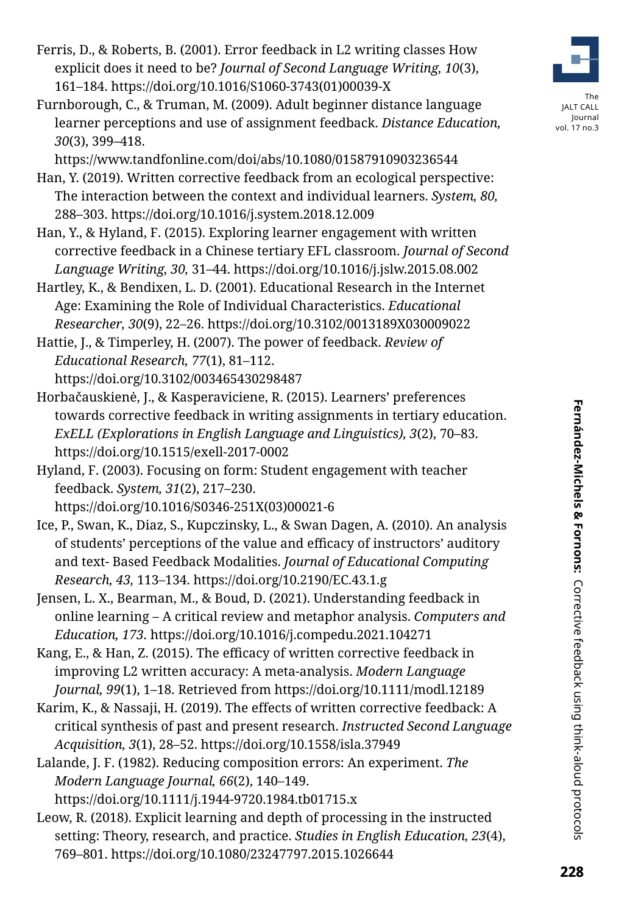- Ferris, D., & Roberts, B. (2001). Error feedback in L2 writing classes How explicit does it need to be? *Journal of Second Language Writing, 10*(3), 161–184. https://doi.org/10.1016/S1060-3743(01)00039-X
- Furnborough, C., & Truman, M. (2009). Adult beginner distance language learner perceptions and use of assignment feedback. *Distance Education, 30*(3), 399–418.

https://www.tandfonline.com/doi/abs/10.1080/01587910903236544

- Han, Y. (2019). Written corrective feedback from an ecological perspective: The interaction between the context and individual learners. *System, 80,*  288–303. https://doi.org/10.1016/j.system.2018.12.009
- Han, Y., & Hyland, F. (2015). Exploring learner engagement with written corrective feedback in a Chinese tertiary EFL classroom. *Journal of Second Language Writing, 30,* 31–44. https://doi.org/10.1016/j.jslw.2015.08.002
- Hartley, K., & Bendixen, L. D. (2001). Educational Research in the Internet Age: Examining the Role of Individual Characteristics. *Educational Researcher, 30*(9), 22–26. https://doi.org/10.3102/0013189X030009022
- Hattie, J., & Timperley, H. (2007). The power of feedback. *Review of Educational Research, 77*(1), 81–112. https://doi.org/10.3102/003465430298487
- Horbačauskienė, J., & Kasperaviciene, R. (2015). Learners' preferences towards corrective feedback in writing assignments in tertiary education. *ExELL (Explorations in English Language and Linguistics), 3*(2), 70–83. https://doi.org/10.1515/exell-2017-0002
- Hyland, F. (2003). Focusing on form: Student engagement with teacher feedback. *System, 31*(2), 217–230.

https://doi.org/10.1016/S0346-251X(03)00021-6

- Ice, P., Swan, K., Diaz, S., Kupczinsky, L., & Swan Dagen, A. (2010). An analysis of students' perceptions of the value and efficacy of instructors' auditory and text- Based Feedback Modalities. *Journal of Educational Computing Research, 43,* 113–134. https://doi.org/10.2190/EC.43.1.g
- Jensen, L. X., Bearman, M., & Boud, D. (2021). Understanding feedback in online learning – A critical review and metaphor analysis. *Computers and Education, 173.* https://doi.org/10.1016/j.compedu.2021.104271
- Kang, E., & Han, Z. (2015). The efficacy of written corrective feedback in improving L2 written accuracy: A meta-analysis. *Modern Language Journal, 99*(1), 1–18. Retrieved from https://doi.org/10.1111/modl.12189
- Karim, K., & Nassaji, H. (2019). The effects of written corrective feedback: A critical synthesis of past and present research. *Instructed Second Language Acquisition, 3*(1), 28–52. https://doi.org/10.1558/isla.37949
- Lalande, J. F. (1982). Reducing composition errors: An experiment. *The Modern Language Journal, 66*(2), 140–149. https://doi.org/10.1111/j.1944-9720.1984.tb01715.x
- Leow, R. (2018). Explicit learning and depth of processing in the instructed setting: Theory, research, and practice. *Studies in English Education, 23*(4), 769–801. https://doi.org/10.1080/23247797.2015.1026644



The JALT CALL Journal vol. 17 no.3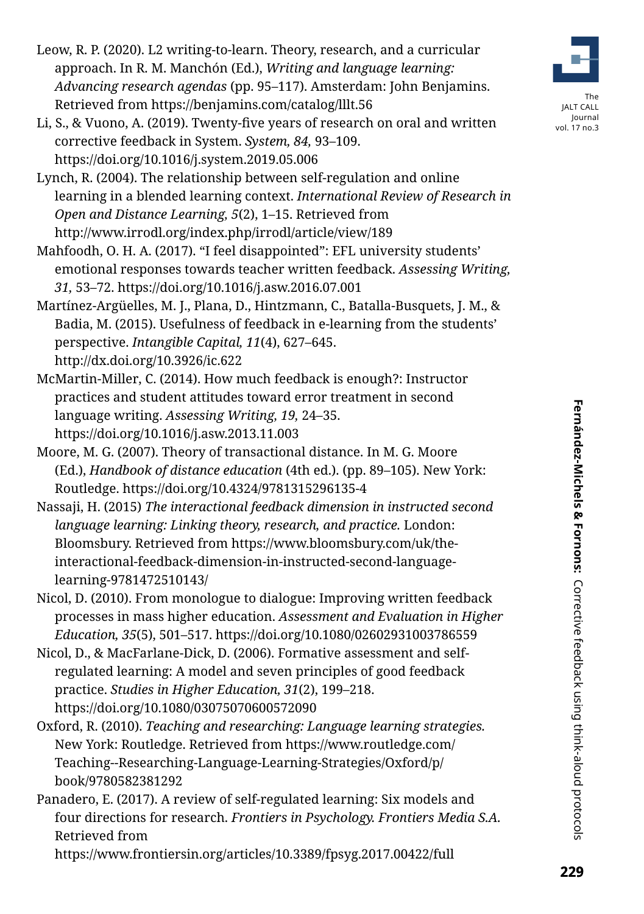- Leow, R. P. (2020). L2 writing-to-learn. Theory, research, and a curricular approach. In R. M. Manchón (Ed.), *Writing and language learning: Advancing research agendas* (pp. 95–117). Amsterdam: John Benjamins. Retrieved from https://benjamins.com/catalog/lllt.56
- Li, S., & Vuono, A. (2019). Twenty-five years of research on oral and written corrective feedback in System. *System, 84,* 93–109. https://doi.org/10.1016/j.system.2019.05.006
- Lynch, R. (2004). The relationship between self-regulation and online learning in a blended learning context. *International Review of Research in Open and Distance Learning, 5*(2), 1–15. Retrieved from http://www.irrodl.org/index.php/irrodl/article/view/189
- Mahfoodh, O. H. A. (2017). "I feel disappointed": EFL university students' emotional responses towards teacher written feedback. *Assessing Writing, 31,* 53–72. https://doi.org/10.1016/j.asw.2016.07.001
- Martínez-Argüelles, M. J., Plana, D., Hintzmann, C., Batalla-Busquets, J. M., & Badia, M. (2015). Usefulness of feedback in e-learning from the students' perspective. *Intangible Capital, 11*(4), 627–645. http://dx.doi.org/10.3926/ic.622
- McMartin-Miller, C. (2014). How much feedback is enough?: Instructor practices and student attitudes toward error treatment in second language writing. *Assessing Writing, 19,* 24–35. https://doi.org/10.1016/j.asw.2013.11.003
- Moore, M. G. (2007). Theory of transactional distance. In M. G. Moore (Ed.), *Handbook of distance education* (4th ed.). (pp. 89–105). New York: Routledge. https://doi.org/10.4324/9781315296135-4
- Nassaji, H. (2015) *The interactional feedback dimension in instructed second language learning: Linking theory, research, and practice.* London: Bloomsbury. Retrieved from [https://www.bloomsbury.com/uk/the](https://www.bloomsbury.com/uk/the-interactional-feedback-dimension-in-instructed-second-language-learning-9781472510143/)[interactional-feedback-dimension-in-instructed-second-language](https://www.bloomsbury.com/uk/the-interactional-feedback-dimension-in-instructed-second-language-learning-9781472510143/)[learning-9781472510143/](https://www.bloomsbury.com/uk/the-interactional-feedback-dimension-in-instructed-second-language-learning-9781472510143/)
- Nicol, D. (2010). From monologue to dialogue: Improving written feedback processes in mass higher education. *Assessment and Evaluation in Higher Education, 35*(5), 501–517. https://doi.org/10.1080/02602931003786559
- Nicol, D., & MacFarlane-Dick, D. (2006). Formative assessment and selfregulated learning: A model and seven principles of good feedback practice. *Studies in Higher Education, 31*(2), 199–218. https://doi.org/10.1080/03075070600572090
- Oxford, R. (2010). *Teaching and researching: Language learning strategies.*  New York: Routledge. Retrieved from [https://www.routledge.com/](https://www.routledge.com/Teaching--Researching-Language-Learning-Strategies/Oxford/p/book/9780582381292 
) [Teaching--Researching-Language-Learning-Strategies/Oxford/p/](https://www.routledge.com/Teaching--Researching-Language-Learning-Strategies/Oxford/p/book/9780582381292 
) [book/9780582381292](https://www.routledge.com/Teaching--Researching-Language-Learning-Strategies/Oxford/p/book/9780582381292 
)
- Panadero, E. (2017). A review of self-regulated learning: Six models and four directions for research. *Frontiers in Psychology. Frontiers Media S.A.* Retrieved from





Journal vol. 17 no.3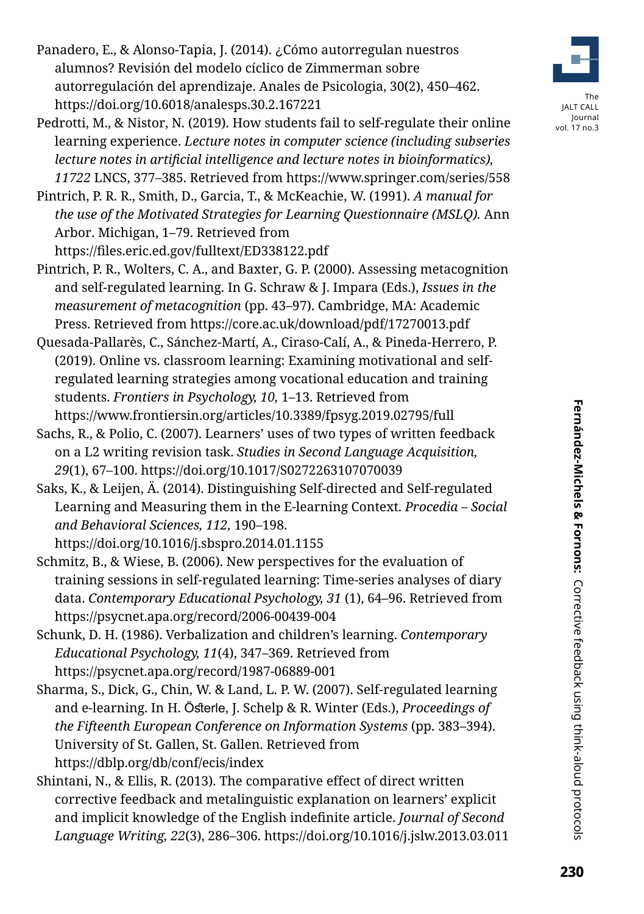- Panadero, E., & Alonso-Tapia, J. (2014). ¿Cómo autorregulan nuestros alumnos? Revisión del modelo cíclico de Zimmerman sobre autorregulación del aprendizaje. Anales de Psicologia, 30(2), 450–462. https://doi.org/10.6018/analesps.30.2.167221
- Pedrotti, M., & Nistor, N. (2019). How students fail to self-regulate their online learning experience. *Lecture notes in computer science (including subseries lecture notes in artificial intelligence and lecture notes in bioinformatics), 11722* LNCS, 377–385. Retrieved from https://www.springer.com/series/558
- Pintrich, P. R. R., Smith, D., Garcia, T., & McKeachie, W. (1991). *A manual for the use of the Motivated Strategies for Learning Questionnaire (MSLQ).* Ann Arbor. Michigan, 1–79. Retrieved from https://files.eric.ed.gov/fulltext/ED338122.pdf
- Pintrich, P. R., Wolters, C. A., and Baxter, G. P. (2000). Assessing metacognition and self-regulated learning. In G. Schraw & J. Impara (Eds.), *Issues in the measurement of metacognition* (pp. 43–97). Cambridge, MA: Academic Press. Retrieved from https://core.ac.uk/download/pdf/17270013.pdf
- Quesada-Pallarès, C., Sánchez-Martí, A., Ciraso-Calí, A., & Pineda-Herrero, P. (2019). Online vs. classroom learning: Examining motivational and selfregulated learning strategies among vocational education and training students. *Frontiers in Psychology, 10,* 1–13. Retrieved from https://www.frontiersin.org/articles/10.3389/fpsyg.2019.02795/full
- Sachs, R., & Polio, C. (2007). Learners' uses of two types of written feedback on a L2 writing revision task. *Studies in Second Language Acquisition, 29*(1), 67–100. https://doi.org/10.1017/S0272263107070039
- Saks, K., & Leijen, Ä. (2014). Distinguishing Self-directed and Self-regulated Learning and Measuring them in the E-learning Context. *Procedia – Social and Behavioral Sciences, 112,* 190–198.
	- https://doi.org/10.1016/j.sbspro.2014.01.1155
- Schmitz, B., & Wiese, B. (2006). New perspectives for the evaluation of training sessions in self-regulated learning: Time-series analyses of diary data. *Contemporary Educational Psychology, 31* (1), 64–96. Retrieved from https://psycnet.apa.org/record/2006-00439-004
- Schunk, D. H. (1986). Verbalization and children's learning. *Contemporary Educational Psychology, 11*(4), 347–369. Retrieved from https://psycnet.apa.org/record/1987-06889-001
- Sharma, S., Dick, G., Chin, W. & Land, L. P. W. (2007). Self-regulated learning and e-learning. In H. Österle, J. Schelp & R. Winter (Eds.), *Proceedings of the Fifteenth European Conference on Information Systems* (pp. 383–394). University of St. Gallen, St. Gallen. Retrieved from https://dblp.org/db/conf/ecis/index
- Shintani, N., & Ellis, R. (2013). The comparative effect of direct written corrective feedback and metalinguistic explanation on learners' explicit and implicit knowledge of the English indefinite article. *Journal of Second Language Writing, 22*(3), 286–306. https://doi.org/10.1016/j.jslw.2013.03.011



The JALT CALL Journal vol. 17 no.3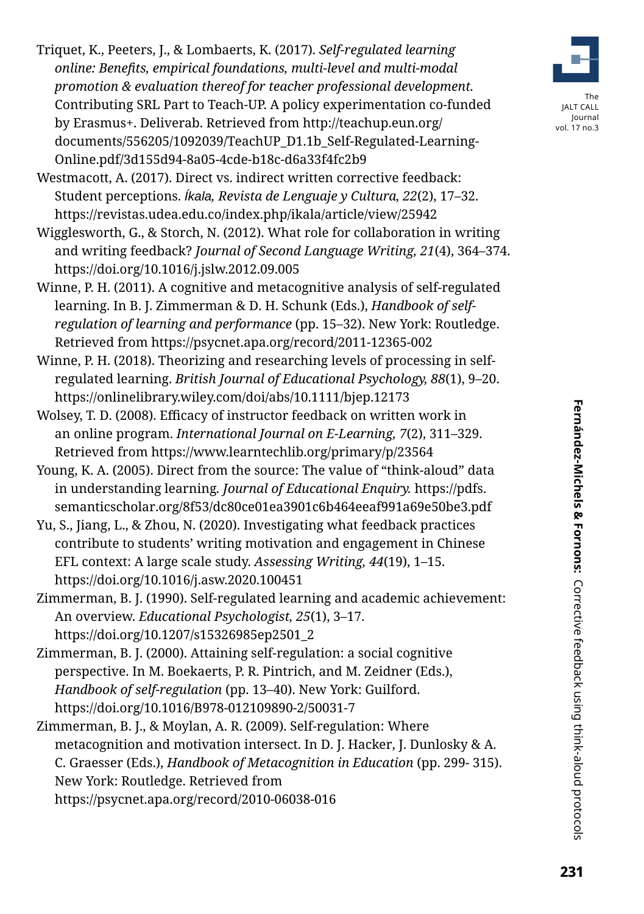Triquet, K., Peeters, J., & Lombaerts, K. (2017). *Self-regulated learning online: Benefits, empirical foundations, multi-level and multi-modal promotion & evaluation thereof for teacher professional development.* Contributing SRL Part to Teach-UP. A policy experimentation co-funded by Erasmus+. Deliverab. Retrieved from [http://teachup.eun.org/](http://teachup.eun.org/documents/556205/1092039/TeachUP_D1.1b_Self-Regulated-Learning-Online.pdf/3d155d94-8a05-4cde-b18c-d6a33f4fc2b9) [documents/556205/1092039/TeachUP\\_D1.1b\\_Self-Regulated-Learning-](http://teachup.eun.org/documents/556205/1092039/TeachUP_D1.1b_Self-Regulated-Learning-Online.pdf/3d155d94-8a05-4cde-b18c-d6a33f4fc2b9)[Online.pdf/3d155d94-8a05-4cde-b18c-d6a33f4fc2b9](http://teachup.eun.org/documents/556205/1092039/TeachUP_D1.1b_Self-Regulated-Learning-Online.pdf/3d155d94-8a05-4cde-b18c-d6a33f4fc2b9) 

Westmacott, A. (2017). Direct vs. indirect written corrective feedback: Student perceptions. *Íkala, Revista de Lenguaje y Cultura, 22*(2), 17–32. https://revistas.udea.edu.co/index.php/ikala/article/view/25942

Wigglesworth, G., & Storch, N. (2012). What role for collaboration in writing and writing feedback? *Journal of Second Language Writing, 21*(4), 364–374. https://doi.org/10.1016/j.jslw.2012.09.005

- Winne, P. H. (2011). A cognitive and metacognitive analysis of self-regulated learning. In B. J. Zimmerman & D. H. Schunk (Eds.), *Handbook of selfregulation of learning and performance* (pp. 15–32). New York: Routledge. Retrieved from https://psycnet.apa.org/record/2011-12365-002
- Winne, P. H. (2018). Theorizing and researching levels of processing in selfregulated learning. *British Journal of Educational Psychology, 88*(1), 9–20. https://onlinelibrary.wiley.com/doi/abs/10.1111/bjep.12173
- Wolsey, T. D. (2008). Efficacy of instructor feedback on written work in an online program. *International Journal on E-Learning, 7*(2), 311–329. Retrieved from https://www.learntechlib.org/primary/p/23564
- Young, K. A. (2005). Direct from the source: The value of "think-aloud" data in understanding learning*. Journal of Educational Enquiry.* [https://pdfs.](https://pdfs.semanticscholar.org/8f53/dc80ce01ea3901c6b464eeaf991a69e50be3.pdf) [semanticscholar.org/8f53/dc80ce01ea3901c6b464eeaf991a69e50be3.pdf](https://pdfs.semanticscholar.org/8f53/dc80ce01ea3901c6b464eeaf991a69e50be3.pdf)
- Yu, S., Jiang, L., & Zhou, N. (2020). Investigating what feedback practices contribute to students' writing motivation and engagement in Chinese EFL context: A large scale study. *Assessing Writing, 44*(19), 1–15. https://doi.org/10.1016/j.asw.2020.100451
- Zimmerman, B. J. (1990). Self-regulated learning and academic achievement: An overview. *Educational Psychologist, 25*(1), 3–17. https://doi.org/10.1207/s15326985ep2501\_2
- Zimmerman, B. J. (2000). Attaining self-regulation: a social cognitive perspective. In M. Boekaerts, P. R. Pintrich, and M. Zeidner (Eds.), *Handbook of self-regulation* (pp. 13–40). New York: Guilford. https://doi.org/10.1016/B978-012109890-2/50031-7
- Zimmerman, B. J., & Moylan, A. R. (2009). Self-regulation: Where metacognition and motivation intersect. In D. J. Hacker, J. Dunlosky & A. C. Graesser (Eds.), *Handbook of Metacognition in Education* (pp. 299- 315). New York: Routledge. Retrieved from https://psycnet.apa.org/record/2010-06038-016